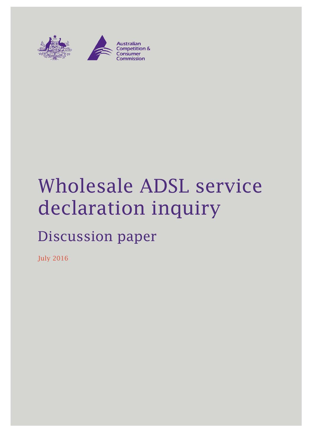

# Wholesale ADSL service declaration inquiry

## Discussion paper

July 2016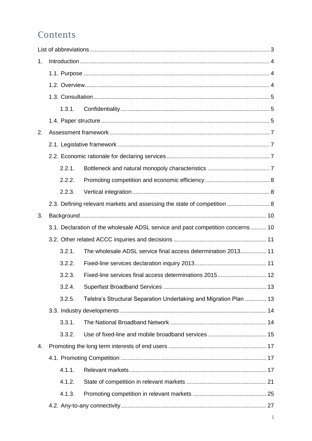## Contents

| 1. |        |                                                                                 |
|----|--------|---------------------------------------------------------------------------------|
|    |        |                                                                                 |
|    |        |                                                                                 |
|    |        |                                                                                 |
|    | 1.3.1. |                                                                                 |
|    |        |                                                                                 |
| 2. |        |                                                                                 |
|    |        |                                                                                 |
|    |        |                                                                                 |
|    | 2.2.1. |                                                                                 |
|    | 2.2.2. |                                                                                 |
|    | 2.2.3. |                                                                                 |
|    |        | 2.3. Defining relevant markets and assessing the state of competition  8        |
| 3. |        |                                                                                 |
|    |        | 3.1. Declaration of the wholesale ADSL service and past competition concerns 10 |
|    |        |                                                                                 |
|    | 3.2.1. | The wholesale ADSL service final access determination 2013 11                   |
|    | 3.2.2. |                                                                                 |
|    | 3.2.3. |                                                                                 |
|    | 3.2.4. |                                                                                 |
|    | 3.2.5. | Telstra's Structural Separation Undertaking and Migration Plan  13              |
|    |        |                                                                                 |
|    | 3.3.1. |                                                                                 |
|    | 3.3.2. |                                                                                 |
| 4. |        |                                                                                 |
|    |        |                                                                                 |
|    | 4.1.1. |                                                                                 |
|    | 4.1.2. |                                                                                 |
|    | 4.1.3. |                                                                                 |
|    |        |                                                                                 |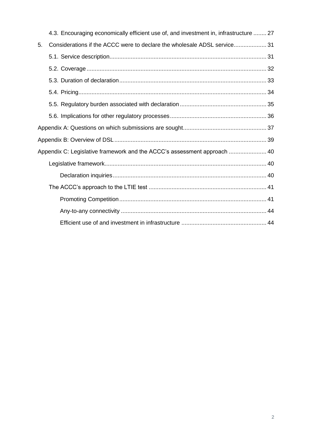|    | 4.3. Encouraging economically efficient use of, and investment in, infrastructure  27 |  |
|----|---------------------------------------------------------------------------------------|--|
| 5. | Considerations if the ACCC were to declare the wholesale ADSL service31               |  |
|    |                                                                                       |  |
|    |                                                                                       |  |
|    |                                                                                       |  |
|    |                                                                                       |  |
|    |                                                                                       |  |
|    |                                                                                       |  |
|    |                                                                                       |  |
|    |                                                                                       |  |
|    | Appendix C: Legislative framework and the ACCC's assessment approach  40              |  |
|    |                                                                                       |  |
|    |                                                                                       |  |
|    |                                                                                       |  |
|    |                                                                                       |  |
|    |                                                                                       |  |
|    |                                                                                       |  |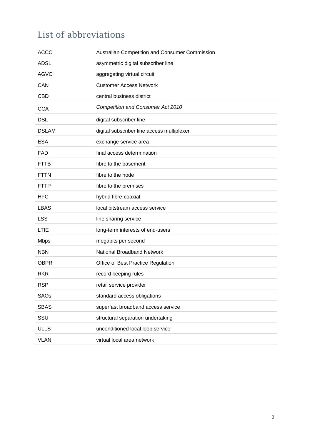## <span id="page-3-0"></span>List of abbreviations

| <b>ACCC</b>  | Australian Competition and Consumer Commission |
|--------------|------------------------------------------------|
| <b>ADSL</b>  | asymmetric digital subscriber line             |
| <b>AGVC</b>  | aggregating virtual circuit                    |
| CAN          | <b>Customer Access Network</b>                 |
| <b>CBD</b>   | central business district                      |
| <b>CCA</b>   | <b>Competition and Consumer Act 2010</b>       |
| <b>DSL</b>   | digital subscriber line                        |
| <b>DSLAM</b> | digital subscriber line access multiplexer     |
| <b>ESA</b>   | exchange service area                          |
| <b>FAD</b>   | final access determination                     |
| <b>FTTB</b>  | fibre to the basement                          |
| <b>FTTN</b>  | fibre to the node                              |
| <b>FTTP</b>  | fibre to the premises                          |
| <b>HFC</b>   | hybrid fibre-coaxial                           |
| <b>LBAS</b>  | local bitstream access service                 |
| <b>LSS</b>   | line sharing service                           |
| <b>LTIE</b>  | long-term interests of end-users               |
| <b>Mbps</b>  | megabits per second                            |
| <b>NBN</b>   | <b>National Broadband Network</b>              |
| <b>OBPR</b>  | Office of Best Practice Regulation             |
| <b>RKR</b>   | record keeping rules                           |
| <b>RSP</b>   | retail service provider                        |
| <b>SAOs</b>  | standard access obligations                    |
| <b>SBAS</b>  | superfast broadband access service             |
| SSU          | structural separation undertaking              |
| <b>ULLS</b>  | unconditioned local loop service               |
| <b>VLAN</b>  | virtual local area network                     |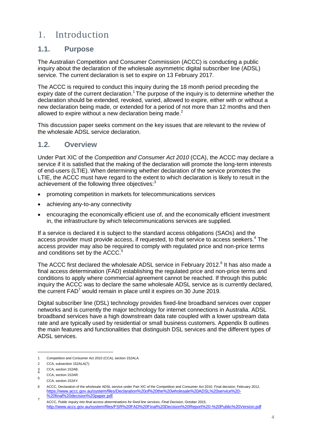## <span id="page-4-0"></span>1. Introduction

#### <span id="page-4-1"></span>**1.1. Purpose**

The Australian Competition and Consumer Commission (ACCC) is conducting a public inquiry about the declaration of the wholesale asymmetric digital subscriber line (ADSL) service. The current declaration is set to expire on 13 February 2017.

The ACCC is required to conduct this inquiry during the 18 month period preceding the expiry date of the current declaration.<sup>1</sup> The purpose of the inquiry is to determine whether the declaration should be extended, revoked, varied, allowed to expire, either with or without a new declaration being made, or extended for a period of not more than 12 months and then allowed to expire without a new declaration being made.<sup>2</sup>

This discussion paper seeks comment on the key issues that are relevant to the review of the wholesale ADSL service declaration.

#### <span id="page-4-2"></span>**1.2. Overview**

Under Part XIC of the *Competition and Consumer Act 2010* (CCA), the ACCC may declare a service if it is satisfied that the making of the declaration will promote the long-term interests of end-users (LTIE). When determining whether declaration of the service promotes the LTIE, the ACCC must have regard to the extent to which declaration is likely to result in the achievement of the following three objectives:<sup>3</sup>

- promoting competition in markets for telecommunications services
- achieving any-to-any connectivity
- encouraging the economically efficient use of, and the economically efficient investment in, the infrastructure by which telecommunications services are supplied.

If a service is declared it is subject to the standard access obligations (SAOs) and the access provider must provide access, if requested, to that service to access seekers.<sup>4</sup> The access provider may also be required to comply with regulated price and non-price terms and conditions set by the ACCC.<sup>5</sup>

The ACCC first declared the wholesale ADSL service in February 2012.<sup>6</sup> It has also made a final access determination (FAD) establishing the regulated price and non-price terms and conditions to apply where commercial agreement cannot be reached. If through this public inquiry the ACCC was to declare the same wholesale ADSL service as is currently declared, the current  $FAD<sup>7</sup>$  would remain in place until it expires on 30 June 2019.

Digital subscriber line (DSL) technology provides fixed-line broadband services over copper networks and is currently the major technology for internet connections in Australia. ADSL broadband services have a high downstream data rate coupled with a lower upstream data rate and are typically used by residential or small business customers. Appendix B outlines the main features and functionalities that distinguish DSL services and the different types of ADSL services.

<sup>1</sup> Competition and Consumer Act 2010 (CCA), section 152ALA.

<sup>2</sup> CCA, subsection 152ALA(7).

CCA, section 152AB.

<sup>4</sup> CCA, section 152AR. 5

CCA, section 152AY.

<sup>6</sup> ACCC, Declaration of the wholesale ADSL service under Part XIC of the Competition and Consumer Act 2010, Final decision, February 2012, [https://www.accc.gov.au/system/files/Declaration%20of%20the%20wholesale%20ADSL%20service%20-](https://www.accc.gov.au/system/files/Declaration%20of%20the%20wholesale%20ADSL%20service%20-%20final%20decision%20paper.pdf) [%20final%20decision%20paper.pdf](https://www.accc.gov.au/system/files/Declaration%20of%20the%20wholesale%20ADSL%20service%20-%20final%20decision%20paper.pdf). 7

ACCC, *Public inquiry into final access determinations for fixed line services*, *Final Decision*, October 2015, <http://www.accc.gov.au/system/files/FSR%20FAD%20Final%20Decision%20Report%20-%20Public%20Version.pdf>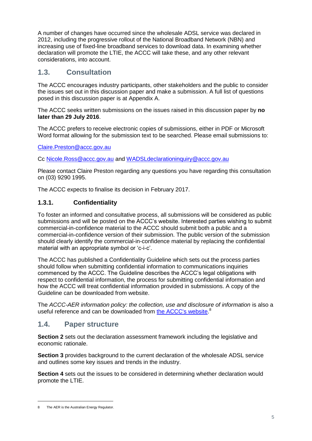A number of changes have occurred since the wholesale ADSL service was declared in 2012, including the progressive rollout of the National Broadband Network (NBN) and increasing use of fixed-line broadband services to download data. In examining whether declaration will promote the LTIE, the ACCC will take these, and any other relevant considerations, into account.

#### <span id="page-5-0"></span>**1.3. Consultation**

The ACCC encourages industry participants, other stakeholders and the public to consider the issues set out in this discussion paper and make a submission. A full list of questions posed in this discussion paper is at Appendix A.

The ACCC seeks written submissions on the issues raised in this discussion paper by **no later than 29 July 2016**.

The ACCC prefers to receive electronic copies of submissions, either in PDF or Microsoft Word format allowing for the submission text to be searched. Please email submissions to:

[Claire.Preston@accc.gov.au](mailto:Preston@accc.gov.au)

Cc [Nicole.Ross@accc.gov.au](mailto:Nicole.Ross@accc.gov.au) and [WADSLdeclarationinquiry@accc.gov.au](mailto:WADSLdeclarationinquiry@accc.gov.au)

Please contact Claire Preston regarding any questions you have regarding this consultation on (03) 9290 1995.

<span id="page-5-1"></span>The ACCC expects to finalise its decision in February 2017.

#### **1.3.1. Confidentiality**

To foster an informed and consultative process, all submissions will be considered as public submissions and will be posted on the ACCC's website. Interested parties wishing to submit commercial-in-confidence material to the ACCC should submit both a public and a commercial-in-confidence version of their submission. The public version of the submission should clearly identify the commercial-in-confidence material by replacing the confidential material with an appropriate symbol or 'c-i-c'.

The ACCC has published a Confidentiality Guideline which sets out the process parties should follow when submitting confidential information to communications inquiries commenced by the ACCC. The Guideline describes the ACCC's legal obligations with respect to confidential information, the process for submitting confidential information and how the ACCC will treat confidential information provided in submissions. A copy of the Guideline can be downloaded from website.

The *ACCC-AER information policy: the collection, use and disclosure of information* is also a useful reference and can be downloaded from [the ACCC's website.](https://www.accc.gov.au/publications/accc-aer-information-policy-collection-and-disclosure-of-information)<sup>8</sup>

#### <span id="page-5-2"></span>**1.4. Paper structure**

**Section 2** sets out the declaration assessment framework including the legislative and economic rationale.

**Section 3** provides background to the current declaration of the wholesale ADSL service and outlines some key issues and trends in the industry.

**Section 4** sets out the issues to be considered in determining whether declaration would promote the LTIE.

<sup>8</sup> The AER is the Australian Energy Regulator.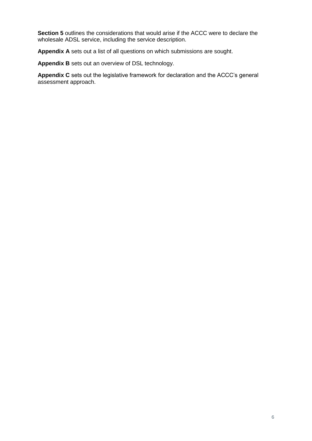**Section 5** outlines the considerations that would arise if the ACCC were to declare the wholesale ADSL service, including the service description.

**Appendix A** sets out a list of all questions on which submissions are sought.

**Appendix B** sets out an overview of DSL technology.

**Appendix C** sets out the legislative framework for declaration and the ACCC's general assessment approach.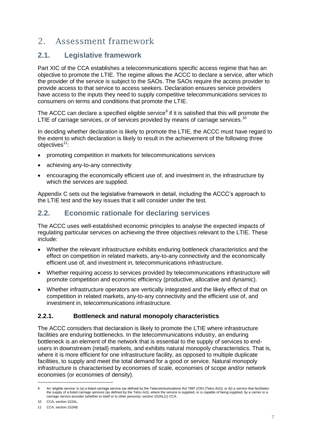## <span id="page-7-0"></span>2. Assessment framework

#### <span id="page-7-1"></span>**2.1. Legislative framework**

Part XIC of the CCA establishes a telecommunications specific access regime that has an objective to promote the LTIE. The regime allows the ACCC to declare a service, after which the provider of the service is subject to the SAOs. The SAOs require the access provider to provide access to that service to access seekers. Declaration ensures service providers have access to the inputs they need to supply competitive telecommunications services to consumers on terms and conditions that promote the LTIE.

The ACCC can declare a specified eligible service<sup>9</sup> if it is satisfied that this will promote the LTIE of carriage services, or of services provided by means of carriage services.<sup>10</sup>

In deciding whether declaration is likely to promote the LTIE, the ACCC must have regard to the extent to which declaration is likely to result in the achievement of the following three objectives<sup>11</sup>:

- promoting competition in markets for telecommunications services
- achieving any-to-any connectivity
- encouraging the economically efficient use of, and investment in, the infrastructure by which the services are supplied.

Appendix C sets out the legislative framework in detail, including the ACCC's approach to the LTIE test and the key issues that it will consider under the test.

## <span id="page-7-2"></span>**2.2. Economic rationale for declaring services**

The ACCC uses well-established economic principles to analyse the expected impacts of regulating particular services on achieving the three objectives relevant to the LTIE. These include:

- Whether the relevant infrastructure exhibits enduring bottleneck characteristics and the effect on competition in related markets, any-to-any connectivity and the economically efficient use of, and investment in, telecommunications infrastructure.
- Whether requiring access to services provided by telecommunications infrastructure will promote competition and economic efficiency (productive, allocative and dynamic).
- Whether infrastructure operators are vertically integrated and the likely effect of that on competition in related markets, any-to-any connectivity and the efficient use of, and investment in, telecommunications infrastructure.

#### <span id="page-7-3"></span>**2.2.1. Bottleneck and natural monopoly characteristics**

The ACCC considers that declaration is likely to promote the LTIE where infrastructure facilities are enduring bottlenecks. In the telecommunications industry, an enduring bottleneck is an element of the network that is essential to the supply of services to endusers in downstream (retail) markets, and exhibits natural monopoly characteristics. That is, where it is more efficient for one infrastructure facility, as opposed to multiple duplicate facilities, to supply and meet the total demand for a good or service. Natural monopoly infrastructure is characterised by economies of scale, economies of scope and/or network economies (or economies of density).

<sup>9</sup> An 'eligible service' is (a) a listed carriage service (as defined by the Telecommunications Act 1997 (Cth) (Telco Act)); or (b) a service that facilitates the supply of a listed carriage services (as defined by the Telco Act), where the service is supplied, or is capable of being supplied, by a carrier or a carriage service provider (whether to itself or to other persons): section 152AL(1) CCA.

<sup>10</sup> CCA, section 152AL.

<sup>11</sup> CCA, section 152AB.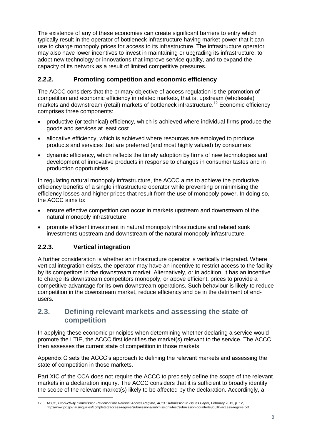The existence of any of these economies can create significant barriers to entry which typically result in the operator of bottleneck infrastructure having market power that it can use to charge monopoly prices for access to its infrastructure. The infrastructure operator may also have lower incentives to invest in maintaining or upgrading its infrastructure, to adopt new technology or innovations that improve service quality, and to expand the capacity of its network as a result of limited competitive pressures.

#### <span id="page-8-0"></span>**2.2.2. Promoting competition and economic efficiency**

The ACCC considers that the primary objective of access regulation is the promotion of competition and economic efficiency in related markets, that is, upstream (wholesale) markets and downstream (retail) markets of bottleneck infrastructure.<sup>12</sup> Economic efficiency comprises three components:

- productive (or technical) efficiency, which is achieved where individual firms produce the goods and services at least cost
- allocative efficiency, which is achieved where resources are employed to produce products and services that are preferred (and most highly valued) by consumers
- dynamic efficiency, which reflects the timely adoption by firms of new technologies and development of innovative products in response to changes in consumer tastes and in production opportunities.

In regulating natural monopoly infrastructure, the ACCC aims to achieve the productive efficiency benefits of a single infrastructure operator while preventing or minimising the efficiency losses and higher prices that result from the use of monopoly power. In doing so, the ACCC aims to:

- ensure effective competition can occur in markets upstream and downstream of the natural monopoly infrastructure
- promote efficient investment in natural monopoly infrastructure and related sunk investments upstream and downstream of the natural monopoly infrastructure.

#### <span id="page-8-1"></span>**2.2.3. Vertical integration**

-

A further consideration is whether an infrastructure operator is vertically integrated. Where vertical integration exists, the operator may have an incentive to restrict access to the facility by its competitors in the downstream market. Alternatively, or in addition, it has an incentive to charge its downstream competitors monopoly, or above efficient, prices to provide a competitive advantage for its own downstream operations. Such behaviour is likely to reduce competition in the downstream market, reduce efficiency and be in the detriment of endusers.

#### <span id="page-8-2"></span>**2.3. Defining relevant markets and assessing the state of competition**

In applying these economic principles when determining whether declaring a service would promote the LTIE, the ACCC first identifies the market(s) relevant to the service. The ACCC then assesses the current state of competition in those markets.

Appendix C sets the ACCC's approach to defining the relevant markets and assessing the state of competition in those markets.

Part XIC of the CCA does not require the ACCC to precisely define the scope of the relevant markets in a declaration inquiry. The ACCC considers that it is sufficient to broadly identify the scope of the relevant market(s) likely to be affected by the declaration. Accordingly, a

<sup>12</sup> ACCC, *Productivity Commission Review of the National Access Regime, ACCC submission to Issues Paper,* February 2013, p. 12, http://www.pc.gov.au/inquiries/completed/access-regime/submissions/submissions-test/submission-counter/sub016-access-regime.pdf.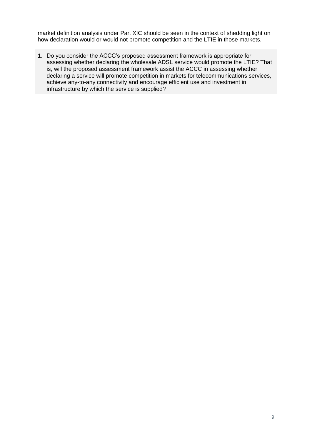market definition analysis under Part XIC should be seen in the context of shedding light on how declaration would or would not promote competition and the LTIE in those markets.

1. Do you consider the ACCC's proposed assessment framework is appropriate for assessing whether declaring the wholesale ADSL service would promote the LTIE? That is, will the proposed assessment framework assist the ACCC in assessing whether declaring a service will promote competition in markets for telecommunications services, achieve any-to-any connectivity and encourage efficient use and investment in infrastructure by which the service is supplied?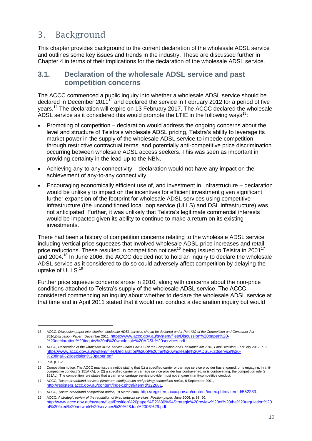## <span id="page-10-0"></span>3. Background

This chapter provides background to the current declaration of the wholesale ADSL service and outlines some key issues and trends in the industry. These are discussed further in Chapter 4 in terms of their implications for the declaration of the wholesale ADSL service.

#### <span id="page-10-1"></span>**3.1. Declaration of the wholesale ADSL service and past competition concerns**

The ACCC commenced a public inquiry into whether a wholesale ADSL service should be declared in December  $2011^{13}$  and declared the service in February 2012 for a period of five years.<sup>14</sup> The declaration will expire on 13 February 2017. The ACCC declared the wholesale ADSL service as it considered this would promote the LTIE in the following ways<sup>15</sup>:

- Promoting of competition declaration would address the ongoing concerns about the level and structure of Telstra's wholesale ADSL pricing, Telstra's ability to leverage its market power in the supply of the wholesale ADSL service to impede competition through restrictive contractual terms, and potentially anti-competitive price discrimination occurring between wholesale ADSL access seekers. This was seen as important in providing certainty in the lead-up to the NBN.
- Achieving any-to-any connectivity declaration would not have any impact on the achievement of any-to-any connectivity.
- Encouraging economically efficient use of, and investment in, infrastructure declaration would be unlikely to impact on the incentives for efficient investment given significant further expansion of the footprint for wholesale ADSL services using competitive infrastructure (the unconditioned local loop service (ULLS) and DSL infrastructure) was not anticipated. Further, it was unlikely that Telstra's legitimate commercial interests would be impacted given its ability to continue to make a return on its existing investments.

There had been a history of competition concerns relating to the wholesale ADSL service including vertical price squeezes that involved wholesale ADSL price increases and retail price reductions. These resulted in competition notices<sup>16</sup> being issued to Telstra in 2001<sup>17</sup> and 2004.<sup>18</sup> In June 2006, the ACCC decided not to hold an inquiry to declare the wholesale ADSL service as it considered to do so could adversely affect competition by delaying the uptake of ULLS.<sup>19</sup>

Further price squeeze concerns arose in 2010, along with concerns about the non-price conditions attached to Telstra's supply of the wholesale ADSL service. The ACCC considered commencing an inquiry about whether to declare the wholesale ADSL service at that time and in April 2011 stated that it would not conduct a declaration inquiry but would

<sup>13</sup> ACCC, *Discussion paper into whether wholesale ADSL services should be declared under Part XIC of the Competition and Consumer Act 2010,Discussion Paper* , December 2011, [https://www.accc.gov.au/system/files/Discussion%20paper%20-](https://www.accc.gov.au/system/files/Discussion%20paper%20-%20declaration%20inquiry%20of%20wholesale%20ADSL%20services.pdf) [%20declaration%20inquiry%20of%20wholesale%20ADSL%20services.pdf](https://www.accc.gov.au/system/files/Discussion%20paper%20-%20declaration%20inquiry%20of%20wholesale%20ADSL%20services.pdf).

<sup>14</sup> ACCC, *Declaration of the wholesale ADSL service under Part XIC of the Competition and Consumer Act 2010*, *Final Decision,* February 2012, p. 2. [https://www.accc.gov.au/system/files/Declaration%20of%20the%20wholesale%20ADSL%20service%20-](https://www.accc.gov.au/system/files/Declaration%20of%20the%20wholesale%20ADSL%20service%20-%20final%20decision%20paper.pdf) [%20final%20decision%20paper.pdf](https://www.accc.gov.au/system/files/Declaration%20of%20the%20wholesale%20ADSL%20service%20-%20final%20decision%20paper.pdf).

<sup>15</sup> Ibid. p. 1-2.

<sup>16</sup> Competition notice: The ACCC may issue a notice stating that (1) a specified carrier or carriage service provider has engaged, or is engaging, in anticompetitive conduct (s 151AKA), or (2) a specified carrier or carriage service provider has contravened, or is contravening, the competition rule (s 151AL). The competition rule states that a carrier or carriage service provider must not engage in anti-competitive conduct.

<sup>17</sup> ACCC, *Telstra broadband services (structure, configuration and pricing) competition notice*, 6 September 2001, <http://registers.accc.gov.au/content/index.phtml/itemId/322681>.

<sup>18</sup> ACCC, *Telstra broadband competition notice,* 19 March 2004, <http://registers.accc.gov.au/content/index.phtml/itemId/552233>*.* 

<sup>19</sup> ACCC, *A strategic review of the regulation of fixed network services*, *Position paper,* June 2006, p. 88, 90, [http://www.accc.gov.au/system/files/Position%20paper%E2%80%94Strategic%20review%20of%20the%20regulation%20](http://www.accc.gov.au/system/files/Position%20paper%E2%80%94Strategic%20review%20of%20the%20regulation%20of%20fixed%20network%20services%20%28Jun%2006%29.pdf) [of%20fixed%20network%20services%20%28Jun%2006%29.pdf](http://www.accc.gov.au/system/files/Position%20paper%E2%80%94Strategic%20review%20of%20the%20regulation%20of%20fixed%20network%20services%20%28Jun%2006%29.pdf).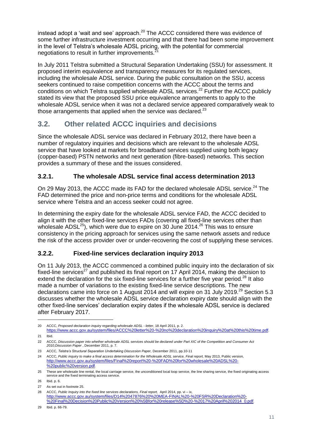instead adopt a 'wait and see' approach.<sup>20</sup> The ACCC considered there was evidence of some further infrastructure investment occurring and that there had been some improvement in the level of Telstra's wholesale ADSL pricing, with the potential for commercial negotiations to result in further improvements.

In July 2011 Telstra submitted a Structural Separation Undertaking (SSU) for assessment. It proposed interim equivalence and transparency measures for its regulated services, including the wholesale ADSL service. During the public consultation on the SSU, access seekers continued to raise competition concerns with the ACCC about the terms and conditions on which Telstra supplied wholesale ADSL services.<sup>22</sup> Further the ACCC publicly stated its view that the proposed SSU price equivalence arrangements to apply to the wholesale ADSL service when it was not a declared service appeared comparatively weak to those arrangements that applied when the service was declared. $^{23}$ 

## <span id="page-11-0"></span>**3.2. Other related ACCC inquiries and decisions**

Since the wholesale ADSL service was declared in February 2012, there have been a number of regulatory inquiries and decisions which are relevant to the wholesale ADSL service that have looked at markets for broadband services supplied using both legacy (copper-based) PSTN networks and next generation (fibre-based) networks. This section provides a summary of these and the issues considered.

#### <span id="page-11-1"></span>**3.2.1. The wholesale ADSL service final access determination 2013**

On 29 May 2013, the ACCC made its FAD for the declared wholesale ADSL service.<sup>24</sup> The FAD determined the price and non-price terms and conditions for the wholesale ADSL service where Telstra and an access seeker could not agree.

In determining the expiry date for the wholesale ADSL service FAD, the ACCC decided to align it with the other fixed-line services FADs (covering all fixed-line services other than wholesale  $\text{ADSL}^{25}$ ), which were due to expire on 30 June 2014.<sup>26</sup> This was to ensure consistency in the pricing approach for services using the same network assets and reduce the risk of the access provider over or under-recovering the cost of supplying these services.

#### <span id="page-11-2"></span>**3.2.2. Fixed-line services declaration inquiry 2013**

On 11 July 2013, the ACCC commenced a combined public inquiry into the declaration of six fixed-line services<sup>27</sup> and published its final report on 17 April 2014, making the decision to extend the declaration for the six fixed-line services for a further five year period.<sup>28</sup> It also made a number of variations to the existing fixed-line service descriptions. The new declarations came into force on 1 August 2014 and will expire on 31 July 2019.<sup>29</sup> Section 5.3 discusses whether the wholesale ADSL service declaration expiry date should align with the other fixed-line services' declaration expiry dates if the wholesale ADSL service is declared after February 2017.

<sup>20</sup> ACCC, *Proposed declaration inquiry regarding wholesale ADSL - letter*, 18 April 2011, p. 2.

<https://www.accc.gov.au/system/files/ACCC%20letter%20-%20no%20declaration%20inquiry%20at%20this%20time.pdf>. 21 Ibid.

<sup>22</sup> ACCC, *Discussion paper into whether wholesale ADSL services should be declared under Part XIC of the Competition and Consumer Act 2010,Discussion Paper* , December 2011, p. 7.

<sup>23</sup> ACCC, *Telstra's Structural Separation Undertaking Discussion Paper,* December 2011, pp.10-11

<sup>24</sup> ACCC, *Public inquiry to make a final access determination for the Wholesale ADSL service, Final report,* May 2013, Public version, [http://www.accc.gov.au/system/files/Final%20report%20-%20FAD%20for%20wholesale%20ADSL%20-](http://www.accc.gov.au/system/files/Final%20report%20-%20FAD%20for%20wholesale%20ADSL%20-%20public%20version.pdf) [%20public%20version.pdf](http://www.accc.gov.au/system/files/Final%20report%20-%20FAD%20for%20wholesale%20ADSL%20-%20public%20version.pdf).

<sup>25</sup> These are wholesale line rental, the local carriage service, the unconditioned local loop service, the line sharing service, the fixed originating access service and the fixed terminating access service.

<sup>26</sup> Ibid. p. 6.

<sup>27</sup> As set out in footnote 25.

<sup>28</sup> ACCC, *Public Inquiry into the fixed line services declarations, Final report,* April 2014, pp. vi – ix, [http://www.accc.gov.au/system/files/D14%2047876%20%20MEA-FINAL%20-%20FSR%20Declaration%20-](http://www.accc.gov.au/system/files/D14%2047876%20%20MEA-FINAL%20-%20FSR%20Declaration%20-%20Final%20Decision%20Public%20Version%20%5Bfor%20release%5D%20-%2017%20April%202014_0.pdf) [%20Final%20Decision%20Public%20Version%20%5Bfor%20release%5D%20-%2017%20April%202014\\_0.pdf](http://www.accc.gov.au/system/files/D14%2047876%20%20MEA-FINAL%20-%20FSR%20Declaration%20-%20Final%20Decision%20Public%20Version%20%5Bfor%20release%5D%20-%2017%20April%202014_0.pdf).

<sup>29</sup> Ibid. p. 66-79.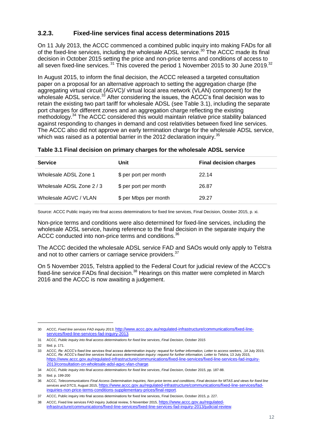#### <span id="page-12-0"></span>**3.2.3. Fixed-line services final access determinations 2015**

On 11 July 2013, the ACCC commenced a combined public inquiry into making FADs for all of the fixed-line services, including the wholesale ADSL service.<sup>30</sup> The ACCC made its final decision in October 2015 setting the price and non-price terms and conditions of access to all seven fixed-line services.<sup>31</sup> This covered the period 1 November 2015 to 30 June 2019.<sup>32</sup>

In August 2015, to inform the final decision, the ACCC released a targeted consultation paper on a proposal for an alternative approach to setting the aggregation charge (the aggregating virtual circuit (AGVC)/ virtual local area network (VLAN) component) for the wholesale ADSL service.<sup>33</sup> After considering the issues, the ACCC's final decision was to retain the existing two part tariff for wholesale ADSL (see Table 3.1), including the separate port charges for different zones and an aggregation charge reflecting the existing methodology.<sup>34</sup> The ACCC considered this would maintain relative price stability balanced against responding to changes in demand and cost relativities between fixed line services. The ACCC also did not approve an early termination charge for the wholesale ADSL service, which was raised as a potential barrier in the 2012 declaration inquiry.<sup>35</sup>

#### **Table 3.1 Final decision on primary charges for the wholesale ADSL service**

| <b>Service</b>          | Unit                  | <b>Final decision charges</b> |
|-------------------------|-----------------------|-------------------------------|
| Wholesale ADSL Zone 1   | \$ per port per month | 22.14                         |
| Wholesale ADSL Zone 2/3 | \$ per port per month | 26.87                         |
| Wholesale AGVC / VLAN   | \$ per Mbps per month | 29.27                         |

Source: ACCC Public inquiry into final access determinations for fixed line services, Final Decision, October 2015, p. xi.

Non-price terms and conditions were also determined for fixed-line services, including the wholesale ADSL service, having reference to the final decision in the separate inquiry the ACCC conducted into non-price terms and conditions.<sup>36</sup>

The ACCC decided the wholesale ADSL service FAD and SAOs would only apply to Telstra and not to other carriers or carriage service providers.<sup>37</sup>

On 5 November 2015, Telstra applied to the Federal Court for judicial review of the ACCC's fixed-line service FADs final decision.<sup>38</sup> Hearings on this matter were completed in March 2016 and the ACCC is now awaiting a judgement.

<sup>30</sup> ACCC, *Fixed line services FAD inquiry 2013*, [http://www.accc.gov.au/regulated-infrastructure/communications/fixed-line](http://www.accc.gov.au/regulated-infrastructure/communications/fixed-line-services/fixed-line-services-fad-inquiry-2013)[services/fixed-line-services-fad-inquiry-2013](http://www.accc.gov.au/regulated-infrastructure/communications/fixed-line-services/fixed-line-services-fad-inquiry-2013).

<sup>31</sup> ACCC, *Public inquiry into final access determinations for fixed line services*, *Final Decision*, October 2015

<sup>32</sup> Ibid. p. 171.

<sup>33</sup> ACCC, *Re: ACCC's fixed line services final access determination inquiry: request for further information, Letter to access seekers,* ,14 July 2015; ACCC, Re: ACCC's fixed line services final access determination inquiry: request for further information, Letter to Telstra, 13 July 2015,<br><u>https://www.accc.gov.au/regulated-infrastructure/communications/fixed-line-service</u> [2013/consultation-on-wholesale-adsl-agvc-vlan-charge](https://www.accc.gov.au/regulated-infrastructure/communications/fixed-line-services/fixed-line-services-fad-inquiry-2013/consultation-on-wholesale-adsl-agvc-vlan-charge).

<sup>34</sup> ACCC, *Public inquiry into final access determinations for fixed line services*, *Final Decision*, October 2015, pp. 187-88.

<sup>35</sup> Ibid. p. 199-200

<sup>36</sup> ACCC, *Telecommunications Final Access Determination Inquiries, Non-price terms and conditions, Final decision for MTAS and views for fixed line services and DTCS,* August 2015, [https://www.accc.gov.au/regulated-infrastructure/communications/fixed-line-services/fad](https://www.accc.gov.au/regulated-infrastructure/communications/fixed-line-services/fad-inquiries-non-price-terms-conditions-supplementary-prices/final-report)[inquiries-non-price-terms-conditions-supplementary-prices/final-report](https://www.accc.gov.au/regulated-infrastructure/communications/fixed-line-services/fad-inquiries-non-price-terms-conditions-supplementary-prices/final-report).

<sup>37</sup> ACCC, Public inquiry into final access determinations for fixed line services, Final Decision, October 2015, p. 227.

<sup>38</sup> ACCC, Fixed line services FAD inquiry Judicial review, 5 November 2015, [https://www.accc.gov.au/regulated](https://www.accc.gov.au/regulated-infrastructure/communications/fixed-line-services/fixed-line-services-fad-inquiry-2013/judicial-review)[infrastructure/communications/fixed-line-services/fixed-line-services-fad-inquiry-2013/judicial-review](https://www.accc.gov.au/regulated-infrastructure/communications/fixed-line-services/fixed-line-services-fad-inquiry-2013/judicial-review).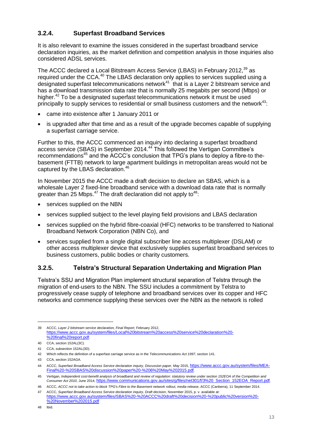#### <span id="page-13-0"></span>**3.2.4. Superfast Broadband Services**

It is also relevant to examine the issues considered in the superfast broadband service declaration inquiries, as the market definition and competition analysis in those inquiries also considered ADSL services.

The ACCC declared a Local Bitstream Access Service (LBAS) in February 2012,<sup>39</sup> as required under the CCA.<sup>40</sup> The LBAS declaration only applies to services supplied using a designated superfast telecommunications network<sup>41</sup> that is a Layer 2 bitstream service and has a download transmission data rate that is normally 25 megabits per second (Mbps) or higher.<sup>42</sup> To be a designated superfast telecommunications network it must be used principally to supply services to residential or small business customers and the network<sup>43</sup>:

- came into existence after 1 January 2011 or
- is upgraded after that time and as a result of the upgrade becomes capable of supplying a superfast carriage service.

Further to this, the ACCC commenced an inquiry into declaring a superfast broadband access service (SBAS) in September 2014.<sup>44</sup> This followed the Vertigan Committee's recommendations<sup>45</sup> and the ACCC's conclusion that TPG's plans to deploy a fibre-to thebasement (FTTB) network to large apartment buildings in metropolitan areas would not be captured by the LBAS declaration.<sup>46</sup>

In November 2015 the ACCC made a draft decision to declare an SBAS, which is a wholesale Layer 2 fixed-line broadband service with a download data rate that is normally greater than  $25 \text{ Mbps.}^{47}$  The draft declaration did not apply to  $48$ :

- services supplied on the NBN
- services supplied subject to the level playing field provisions and LBAS declaration
- services supplied on the hybrid fibre-coaxial (HFC) networks to be transferred to National Broadband Network Corporation (NBN Co), and
- services supplied from a single digital subscriber line access multiplexer (DSLAM) or other access multiplexer device that exclusively supplies superfast broadband services to business customers, public bodies or charity customers.

#### <span id="page-13-1"></span>**3.2.5. Telstra's Structural Separation Undertaking and Migration Plan**

Telstra's SSU and Migration Plan implement structural separation of Telstra through the migration of end-users to the NBN. The SSU includes a commitment by Telstra to progressively cease supply of telephone and broadband services over its copper and HFC networks and commence supplying these services over the NBN as the network is rolled

<sup>39</sup> ACCC, *Layer 2 bitstream service declaration, Final Report*, February 2012, [https://www.accc.gov.au/system/files/Local%20bitstream%20access%20service%20declaration%20-](https://www.accc.gov.au/system/files/Local%20bitstream%20access%20service%20declaration%20-%20final%20report.pdf) [%20final%20report.pdf](https://www.accc.gov.au/system/files/Local%20bitstream%20access%20service%20declaration%20-%20final%20report.pdf).

<sup>40</sup> CCA, section 152AL(3C).

<sup>41</sup> CCA, subsection 152AL(3D).

<sup>42</sup> Which reflects the definition of a superfast carriage service as in the *Telecommunications Act 1997*, section 141.

<sup>43</sup> CCA, section 152AGA.

<sup>44</sup> ACCC, Superfast Broadband Access Service declaration inquiry, Discussion paper, May 2015, [https://www.accc.gov.au/system/files/MEA-](https://www.accc.gov.au/system/files/MEA-Final%20-%20SBAS%20discussion%20paper%20-%206%20May%202015.pdf)[Final%20-%20SBAS%20discussion%20paper%20-%206%20May%202015.pdf](https://www.accc.gov.au/system/files/MEA-Final%20-%20SBAS%20discussion%20paper%20-%206%20May%202015.pdf).

<sup>45</sup> Vertigan, *Independent cost-benefit analysis of broadband and review of regulation: statutory review under section 152EOA of the Competition and Consumer Act 2010*, June 2014, [https://www.communications.gov.au/sites/g/files/net301/f/3%20\\_Section\\_152EOA\\_Report.pdf](https://www.communications.gov.au/sites/g/files/net301/f/3%20_Section_152EOA_Report.pdf).

<sup>46</sup> ACCC, *ACCC not to take action to block TPG's Fibre to the Basement network rollout, media release*, ACCC (Canberra), 11 September 2014. 47 ACCC, *Superfast Broadband Access Service declaration inquiry*, *Draft decision*, November 2015, p. v. available at:

[https://www.accc.gov.au/system/files/SBAS%20-%20ACCC%20draft%20decision%20-%20public%20version%20-](https://www.accc.gov.au/system/files/SBAS%20-%20ACCC%20draft%20decision%20-%20public%20version%20-%20November%202015.pdf) [%20November%202015.pdf](https://www.accc.gov.au/system/files/SBAS%20-%20ACCC%20draft%20decision%20-%20public%20version%20-%20November%202015.pdf)

<sup>48</sup> Ibid.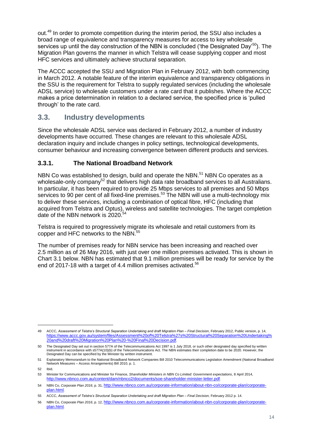out.<sup>49</sup> In order to promote competition during the interim period, the SSU also includes a broad range of equivalence and transparency measures for access to key wholesale services up until the day construction of the NBN is concluded ('the Designated Day'<sup>50</sup>). The Migration Plan governs the manner in which Telstra will cease supplying copper and most HFC services and ultimately achieve structural separation.

The ACCC accepted the SSU and Migration Plan in February 2012, with both commencing in March 2012. A notable feature of the interim equivalence and transparency obligations in the SSU is the requirement for Telstra to supply regulated services (including the wholesale ADSL service) to wholesale customers under a rate card that it publishes. Where the ACCC makes a price determination in relation to a declared service, the specified price is 'pulled through' to the rate card.

#### <span id="page-14-0"></span>**3.3. Industry developments**

Since the wholesale ADSL service was declared in February 2012, a number of industry developments have occurred. These changes are relevant to this wholesale ADSL declaration inquiry and include changes in policy settings, technological developments, consumer behaviour and increasing convergence between different products and services.

#### <span id="page-14-1"></span>**3.3.1. The National Broadband Network**

NBN Co was established to design, build and operate the NBN.<sup>51</sup> NBN Co operates as a wholesale-only company<sup>52</sup> that delivers high data rate broadband services to all Australians. In particular, it has been required to provide 25 Mbps services to all premises and 50 Mbps services to 90 per cent of all fixed-line premises.<sup>53</sup> The NBN will use a multi-technology mix to deliver these services, including a combination of optical fibre, HFC (including that acquired from Telstra and Optus), wireless and satellite technologies. The target completion date of the NBN network is 2020.<sup>54</sup>

Telstra is required to progressively migrate its wholesale and retail customers from its copper and HFC networks to the NBN.<sup>55</sup>

The number of premises ready for NBN service has been increasing and reached over 2.5 million as of 26 May 2016, with just over one million premises activated. This is shown in Chart 3.1 below. NBN has estimated that 9.1 million premises will be ready for service by the end of 2017-18 with a target of 4.4 million premises activated.<sup>56</sup>

<sup>49</sup> ACCC, *Assessment of Telstra's Structural Separation Undertaking and draft Migration Plan – Final Decision*, February 2012, Public version, p. 14, [https://www.accc.gov.au/system/files/Assessment%20of%20Telstra%27s%20Structural%20Separation%20Undertaking%](https://www.accc.gov.au/system/files/Assessment%20of%20Telstra%27s%20Structural%20Separation%20Undertaking%20and%20draft%20Migration%20Plan%20-%20Final%20Decision.pdf) [20and%20draft%20Migration%20Plan%20-%20Final%20Decision.pdf](https://www.accc.gov.au/system/files/Assessment%20of%20Telstra%27s%20Structural%20Separation%20Undertaking%20and%20draft%20Migration%20Plan%20-%20Final%20Decision.pdf).

<sup>50</sup> The Designated Day set out in section 577A of the Telecommunications Act 1997 is 1 July 2018, or such other designated day specified by written instrument in accordance with s577A(10)(b) of the Telecommunications Act. The NBN estimates their completion date to be 2020. However, the Designated Day can be specified by the Minister by written instrument.

<sup>51</sup> Explanatory Memorandum to the National Broadband Network Companies Bill 2010 Telecommunications Legislation Amendment (National Broadband Network Measures – Access Arrangements) Bill 2010, p. 1.

<sup>52</sup> Ibid.

<sup>53</sup> Minister for Communications and Minister for Finance, *Shareholder Ministers in NBN Co Limited: Government expectations*, 8 April 2014, <http://www.nbnco.com.au/content/dam/nbnco2/documents/soe-shareholder-minister-letter.pdf>.

<sup>54</sup> NBN Co, *Corporate Plan 2016*, p. 31, [http://www.nbnco.com.au/corporate-information/about-nbn-co/corporate-plan/corporate](http://www.nbnco.com.au/corporate-information/about-nbn-co/corporate-plan/corporate-plan.html)[plan.html](http://www.nbnco.com.au/corporate-information/about-nbn-co/corporate-plan/corporate-plan.html).

<sup>55</sup> ACCC, *Assessment of Telstra's Structural Separation Undertaking and draft Migration Plan – Final Decision,* February 2012 p. 14.

<sup>56</sup> NBN Co, *Corporate Plan 2016*, p. 12, [http://www.nbnco.com.au/corporate-information/about-nbn-co/corporate-plan/corporate](http://www.nbnco.com.au/corporate-information/about-nbn-co/corporate-plan/corporate-plan.html)[plan.html](http://www.nbnco.com.au/corporate-information/about-nbn-co/corporate-plan/corporate-plan.html).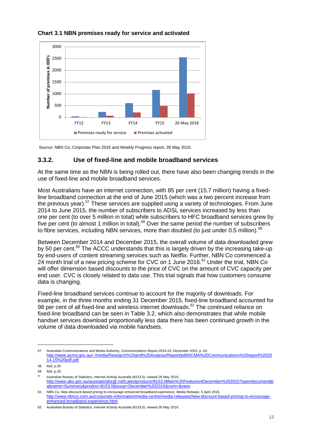

#### **Chart 3.1 NBN premises ready for service and activated**

Source: NBN Co, Corporate Plan 2016 and Weekly Progress report, 26 May 2016.

#### <span id="page-15-0"></span>**3.3.2. Use of fixed-line and mobile broadband services**

At the same time as the NBN is being rolled out, there have also been changing trends in the use of fixed-line and mobile broadband services.

Most Australians have an internet connection, with 85 per cent (15.7 million) having a fixedline broadband connection at the end of June 2015 (which was a two percent increase from the previous year).<sup>57</sup> These services are supplied using a variety of technologies. From June 2014 to June 2015, the number of subscribers to ADSL services increased by less than one per cent (to over 5 million in total) while subscribers to HFC broadband services grew by five per cent (to almost 1 million in total).<sup>58</sup> Over the same period the number of subscribers to fibre services, including NBN services, more than doubled (to just under 0.5 million).<sup>59</sup>

Between December 2014 and December 2015, the overall volume of data downloaded grew by 50 per cent.<sup>60</sup> The ACCC understands that this is largely driven by the increasing take-up by end-users of content streaming services such as Netflix. Further, NBN Co commenced a  $24$  month trial of a new pricing scheme for CVC on 1 June 2016.<sup>61</sup> Under the trial, NBN Co will offer dimension based discounts to the price of CVC on the amount of CVC capacity per end user. CVC is closely related to data use. This trial signals that how customers consume data is changing.

Fixed-line broadband services continue to account for the majority of downloads. For example, in the three months ending 31 December 2015, fixed-line broadband accounted for 98 per cent of all fixed-line and wireless internet downloads.<sup>62</sup> The continued reliance on fixed-line broadband can be seen in Table 3.2, which also demonstrates that while mobile handset services download proportionally less data there has been continued growth in the volume of data downloaded via mobile handsets.

<sup>57</sup> Australian Communications and Media Authority, *Communications Report 2014-15*, December 2015, p. 43, [http://www.acma.gov.au/~/media/Research%20and%20Analysis/Report/pdf/ACMA%20Communications%20report%2020](http://www.acma.gov.au/~/media/Research%20and%20Analysis/Report/pdf/ACMA%20Communications%20report%202014-15%20pdf.pdf) [14-15%20pdf.pdf](http://www.acma.gov.au/~/media/Research%20and%20Analysis/Report/pdf/ACMA%20Communications%20report%202014-15%20pdf.pdf).

<sup>58</sup> Ibid, p.20. 59 Ibid, p.20.

<sup>60</sup> Australian Bureau of Statistics*, Internet Activity Australia (8153.0)*, viewed 26 May 2016, [http://www.abs.gov.au/ausstats/abs@.nsf/Latestproducts/8153.0Main%20Features4December%202015?opendocument&t](http://www.abs.gov.au/ausstats/abs@.nsf/Latestproducts/8153.0Main%20Features4December%202015?opendocument&tabname=Summary&prodno=8153.0&issue=December%202015&num=&view) [abname=Summary&prodno=8153.0&issue=December%202015&num=&view](http://www.abs.gov.au/ausstats/abs@.nsf/Latestproducts/8153.0Main%20Features4December%202015?opendocument&tabname=Summary&prodno=8153.0&issue=December%202015&num=&view).

<sup>61</sup> NBN Co, *New discount-based pricing to encourage enhanced broadband experience*, Media Release, 5 April 2016, [http://www.nbnco.com.au/corporate-information/media-centre/media-releases/New-discount-based-pricing-to-encourage](http://www.nbnco.com.au/corporate-information/media-centre/media-releases/New-discount-based-pricing-to-encourage-enhanced-broadband-experience.html)[enhanced-broadband-experience.html](http://www.nbnco.com.au/corporate-information/media-centre/media-releases/New-discount-based-pricing-to-encourage-enhanced-broadband-experience.html).

<sup>62</sup> Australian Bureau of Statistics*, Internet Activity Australia (8153.0)*, viewed 26 May 2016.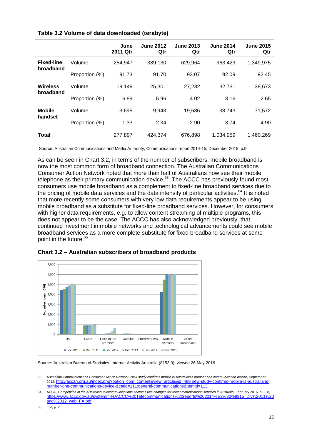|                   |                | June<br>2011 Qtr | <b>June 2012</b><br>Qtr | <b>June 2013</b><br>Qtr | <b>June 2014</b><br>Qtr | <b>June 2015</b><br>Qtr |
|-------------------|----------------|------------------|-------------------------|-------------------------|-------------------------|-------------------------|
| <b>Fixed-line</b> | Volume         | 254.947          | 389,130                 | 629,964                 | 963,429                 | 1,349,975               |
| broadband         | Proportion (%) | 91.73            | 91.70                   | 93.07                   | 92.09                   | 92.45                   |
| <b>Wireless</b>   | Volume         | 19,149           | 25,301                  | 27,232                  | 32,731                  | 38,673                  |
| broadband         | Proportion (%) | 6.89             | 5.96                    | 4.02                    | 3.16                    | 2.65                    |
| <b>Mobile</b>     | Volume         | 3,695            | 9,943                   | 19,636                  | 38,743                  | 71,572                  |
| handset           | Proportion (%) | 1.33             | 2.34                    | 2.90                    | 3.74                    | 4.90                    |
| Total             |                | 277.897          | 424,374                 | 676,898                 | 1,034,959               | 1,460,269               |

#### **Table 3.2 Volume of data downloaded (terabyte)**

Source: Australian Communications and Media Authority, Communications report 2014-15, December 2015, p.9.

As can be seen in Chart 3.2, in terms of the number of subscribers, mobile broadband is now the most common form of broadband connection. The Australian Communications Consumer Action Network noted that more than half of Australians now see their mobile telephone as their primary communication device. $^{63}$  The ACCC has previously found most consumers use mobile broadband as a complement to fixed-line broadband services due to the pricing of mobile data services and the data intensity of particular activities. $64$  It is noted that more recently some consumers with very low data requirements appear to be using mobile broadband as a substitute for fixed-line broadband services. However, for consumers with higher data requirements, e.g. to allow content streaming of multiple programs, this does not appear to be the case. The ACCC has also acknowledged previously, that continued investment in mobile networks and technological advancements could see mobile broadband services as a more complete substitute for fixed broadband services at some point in the future.<sup>65</sup>



**Chart 3.2 – Australian subscribers of broadband products**

Source: Australian Bureau of Statistics, Internet Activity Australia (8153.0), viewed 26 May 2016.

<sup>63</sup> Australian Communications Consumer Action Network, *New study confirms mobile is Australian's number one communication device*, September 2012, [http://accan.org.au/index.php?option=com\\_content&view=article&id=489:new-study-confirms-mobile-is-australians](http://accan.org.au/index.php?option=com_content&view=article&id=489:new-study-confirms-mobile-is-australians-number-one-communications-device-&catid=111:general-communications&Itemid=113)[number-one-communications-device-&catid=111:general-communications&Itemid=113](http://accan.org.au/index.php?option=com_content&view=article&id=489:new-study-confirms-mobile-is-australians-number-one-communications-device-&catid=111:general-communications&Itemid=113).

<sup>64</sup> ACCC, *Competition in the Australian telecommunications sector: Price changes for telecommunications services in Australia, February 2016, p. 2, 8,* [https://www.accc.gov.au/system/files/ACCC%20Telecommunications%20reports%202014%E2%80%9315\\_Div%2011%20](https://www.accc.gov.au/system/files/ACCC%20Telecommunications%20reports%202014%E2%80%9315_Div%2011%20and%2012_web_FA.pdf) [and%2012\\_web\\_FA.pdf](https://www.accc.gov.au/system/files/ACCC%20Telecommunications%20reports%202014%E2%80%9315_Div%2011%20and%2012_web_FA.pdf).

<sup>65</sup> Ibid, p. 2*.*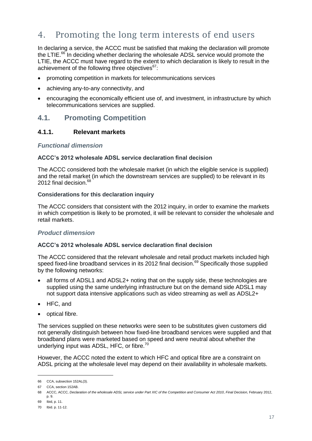## <span id="page-17-0"></span>4. Promoting the long term interests of end users

In declaring a service, the ACCC must be satisfied that making the declaration will promote the LTIE. $^{66}$  In deciding whether declaring the wholesale ADSL service would promote the LTIE, the ACCC must have regard to the extent to which declaration is likely to result in the achievement of the following three objectives $67$ :

- promoting competition in markets for telecommunications services
- achieving any-to-any connectivity, and
- encouraging the economically efficient use of, and investment, in infrastructure by which telecommunications services are supplied.

#### <span id="page-17-1"></span>**4.1. Promoting Competition**

#### <span id="page-17-2"></span>**4.1.1. Relevant markets**

#### *Functional dimension*

#### **ACCC's 2012 wholesale ADSL service declaration final decision**

The ACCC considered both the wholesale market (in which the eligible service is supplied) and the retail market (in which the downstream services are supplied) to be relevant in its 2012 final decision.<sup>68</sup>

#### **Considerations for this declaration inquiry**

The ACCC considers that consistent with the 2012 inquiry, in order to examine the markets in which competition is likely to be promoted, it will be relevant to consider the wholesale and retail markets.

#### *Product dimension*

#### **ACCC's 2012 wholesale ADSL service declaration final decision**

The ACCC considered that the relevant wholesale and retail product markets included high speed fixed-line broadband services in its 2012 final decision.<sup>69</sup> Specifically those supplied by the following networks:

- all forms of ADSL1 and ADSL2+ noting that on the supply side, these technologies are supplied using the same underlying infrastructure but on the demand side ADSL1 may not support data intensive applications such as video streaming as well as ADSL2+
- HFC, and
- optical fibre.

The services supplied on these networks were seen to be substitutes given customers did not generally distinguish between how fixed-line broadband services were supplied and that broadband plans were marketed based on speed and were neutral about whether the underlying input was ADSL, HFC, or fibre.<sup>70</sup>

However, the ACCC noted the extent to which HFC and optical fibre are a constraint on ADSL pricing at the wholesale level may depend on their availability in wholesale markets.

<sup>66</sup> CCA, subsection 152AL(3).

<sup>67</sup> CCA, section 152AB.

<sup>68</sup> ACCC, ACCC, *Declaration of the wholesale ADSL service under Part XIC of the Competition and Consumer Act 2010*, *Final Decision,* February 2012, p. 9.

<sup>69</sup> Ibid, p. 11.

<sup>70</sup> Ibid. p. 11-12.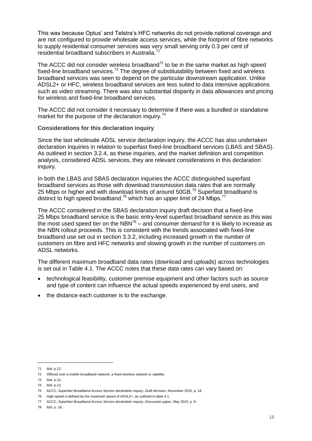This was because Optus' and Telstra's HFC networks do not provide national coverage and are not configured to provide wholesale access services, while the footprint of fibre networks to supply residential consumer services was very small serving only 0.3 per cent of residential broadband subscribers in Australia.

The ACCC did not consider wireless broadband $72$  to be in the same market as high speed fixed-line broadband services.<sup>73</sup> The degree of substitutability between fixed and wireless broadband services was seen to depend on the particular downstream application. Unlike ADSL2+ or HFC, wireless broadband services are less suited to data intensive applications such as video streaming. There was also substantial disparity in data allowances and pricing for wireless and fixed-line broadband services.

The ACCC did not consider it necessary to determine if there was a bundled or standalone market for the purpose of the declaration inquiry.<sup>74</sup>

#### **Considerations for this declaration inquiry**

Since the last wholesale ADSL service declaration inquiry, the ACCC has also undertaken declaration inquiries in relation to superfast fixed-line broadband services (LBAS and SBAS). As outlined in section [3.2.4,](#page-13-0) as these inquiries, and the market definition and competition analysis, considered ADSL services, they are relevant considerations in this declaration inquiry.

In both the LBAS and SBAS declaration inquiries the ACCC distinguished superfast broadband services as those with download transmission data rates that are normally 25 Mbps or higher and with download limits of around 50GB.<sup>75</sup> Superfast broadband is distinct to high speed broadband,<sup>76</sup> which has an upper limit of 24 Mbps.<sup>77</sup>

The ACCC considered in the SBAS declaration inquiry draft decision that a fixed-line 25 Mbps broadband service is the basic entry-level superfast broadband service as this was the most used speed tier on the NBN<sup>78</sup> – and consumer demand for it is likely to increase as the NBN rollout proceeds. This is consistent with the trends associated with fixed-line broadband use set out in section [3.3.2,](#page-15-0) including increased growth in the number of customers on fibre and HFC networks and slowing growth in the number of customers on ADSL networks.

The different maximum broadband data rates (download and uploads) across technologies is set out in Table 4.1. The ACCC notes that these data rates can vary based on:

- technological feasibility, customer premise equipment and other factors such as source and type of content can influence the actual speeds experienced by end users, and
- the distance each customer is to the exchange.

<sup>71</sup> Ibid. p.12.

<sup>72</sup> Offered over a mobile broadband network, a fixed wireless network or satellite.

<sup>73</sup> Ibid. p.12.

<sup>74</sup> Ibid. p.13.

<sup>75</sup> ACCC, *Superfast Broadband Access Service declaration inquiry, Draft decision*, November 2015, p. 18 .

<sup>76</sup> High speed is defined by the maximum speed of ADSL2+, as outlined in table 4.1.

<sup>77</sup> ACCC, *Superfast Broadband Access Service declaration inquiry, Discussion paper,* May 2015, p .9.

<sup>78</sup> Ibid. p. 18.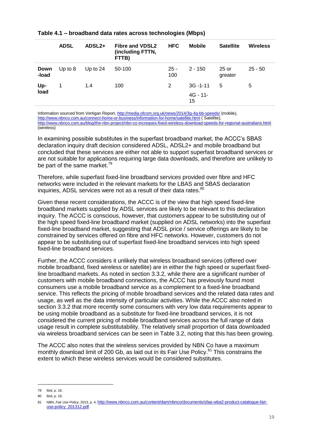|               | <b>ADSL</b> | ADSL <sub>2+</sub> | <b>Fibre and VDSL2</b><br>(including FTTN,<br>FTTB) | <b>HFC</b>    | <b>Mobile</b>                    | <b>Satellite</b>   | <b>Wireless</b> |
|---------------|-------------|--------------------|-----------------------------------------------------|---------------|----------------------------------|--------------------|-----------------|
| Down<br>-load | Up to $8$   | Up to $24$         | 50-100                                              | $25 -$<br>100 | $2 - 150$                        | $25$ or<br>greater | $25 - 50$       |
| Up-<br>load   |             | 1.4                | 100                                                 | 2             | $3G - 1 - 11$<br>$4G - 11$<br>15 | 5                  | 5               |

#### **Table 4.1 – broadband data rates across technologies (Mbps)**

Information sourced from Vertigan Report[, http://media.ofcom.org.uk/news/2014/3g-4g-bb-speeds/](http://media.ofcom.org.uk/news/2014/3g-4g-bb-speeds/) (mobile), <http://www.nbnco.com.au/connect-home-or-business/information-for-home/satellite.html> ( Satellite), <http://www.nbnco.com.au/blog/the-nbn-project/nbn-co-increases-fixed-wireless-download-speeds-for-regional-australians.html> (wireless)

In examining possible substitutes in the superfast broadband market, the ACCC's SBAS declaration inquiry draft decision considered ADSL, ADSL2+ and mobile broadband but concluded that these services are either not able to support superfast broadband services or are not suitable for applications requiring large data downloads, and therefore are unlikely to be part of the same market.<sup>79</sup>

Therefore, while superfast fixed-line broadband services provided over fibre and HFC networks were included in the relevant markets for the LBAS and SBAS declaration inquiries, ADSL services were not as a result of their data rates.<sup>80</sup>

Given these recent considerations, the ACCC is of the view that high speed fixed-line broadband markets supplied by ADSL services are likely to be relevant to this declaration inquiry. The ACCC is conscious, however, that customers appear to be substituting out of the high speed fixed-line broadband market (supplied on ADSL networks) into the superfast fixed-line broadband market, suggesting that ADSL price / service offerings are likely to be constrained by services offered on fibre and HFC networks. However, customers do not appear to be substituting out of superfast fixed-line broadband services into high speed fixed-line broadband services.

Further, the ACCC considers it unlikely that wireless broadband services (offered over mobile broadband, fixed wireless or satellite) are in either the high speed or superfast fixedline broadband markets. As noted in section [3.3.2,](#page-15-0) while there are a significant number of customers with mobile broadband connections, the ACCC has previously found most consumers use a mobile broadband service as a complement to a fixed-line broadband service. This reflects the pricing of mobile broadband services and the related data rates and usage, as well as the data intensity of particular activities. While the ACCC also noted in section [3.3.2](#page-15-0) that more recently some consumers with very low data requirements appear to be using mobile broadband as a substitute for fixed-line broadband services, it is not considered the current pricing of mobile broadband services across the full range of data usage result in complete substitutability. The relatively small proportion of data downloaded via wireless broadband services can be seen in Table 3.2, noting that this has been growing.

The ACCC also notes that the wireless services provided by NBN Co have a maximum monthly download limit of 200 Gb, as laid out in its Fair Use Policy.<sup>81</sup> This constrains the extent to which these wireless services would be considered substitutes.

<sup>79</sup> Ibid, p. 18.

<sup>80</sup> Ibid, p. 18.

<sup>81</sup> NBN, *Fair Use Policy*, 2013, p. 4, [http://www.nbnco.com.au/content/dam/nbnco/documents/sfaa-wba2-product-catalogue-fair](http://www.nbnco.com.au/content/dam/nbnco/documents/sfaa-wba2-product-catalogue-fair-use-policy_201312.pdf)[use-policy\\_201312.pdf](http://www.nbnco.com.au/content/dam/nbnco/documents/sfaa-wba2-product-catalogue-fair-use-policy_201312.pdf).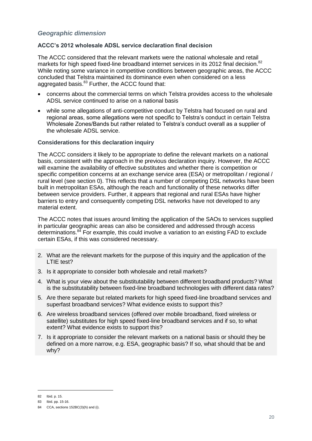#### *Geographic dimension*

#### **ACCC's 2012 wholesale ADSL service declaration final decision**

The ACCC considered that the relevant markets were the national wholesale and retail markets for high speed fixed-line broadband internet services in its 2012 final decision.<sup>82</sup> While noting some variance in competitive conditions between geographic areas, the ACCC concluded that Telstra maintained its dominance even when considered on a less aggregated basis.<sup>83</sup> Further, the ACCC found that:

- concerns about the commercial terms on which Telstra provides access to the wholesale ADSL service continued to arise on a national basis
- while some allegations of anti-competitive conduct by Telstra had focused on rural and regional areas, some allegations were not specific to Telstra's conduct in certain Telstra Wholesale Zones/Bands but rather related to Telstra's conduct overall as a supplier of the wholesale ADSL service.

#### **Considerations for this declaration inquiry**

The ACCC considers it likely to be appropriate to define the relevant markets on a national basis, consistent with the approach in the previous declaration inquiry. However, the ACCC will examine the availability of effective substitutes and whether there is competition or specific competition concerns at an exchange service area (ESA) or metropolitan / regional / rural level (see section [0\)](#page-20-0). This reflects that a number of competing DSL networks have been built in metropolitan ESAs, although the reach and functionality of these networks differ between service providers. Further, it appears that regional and rural ESAs have higher barriers to entry and consequently competing DSL networks have not developed to any material extent.

The ACCC notes that issues around limiting the application of the SAOs to services supplied in particular geographic areas can also be considered and addressed through access determinations. $84$  For example, this could involve a variation to an existing  $FAD$  to exclude certain ESAs, if this was considered necessary.

- 2. What are the relevant markets for the purpose of this inquiry and the application of the LTIE test?
- 3. Is it appropriate to consider both wholesale and retail markets?
- 4. What is your view about the substitutability between different broadband products? What is the substitutability between fixed-line broadband technologies with different data rates?
- 5. Are there separate but related markets for high speed fixed-line broadband services and superfast broadband services? What evidence exists to support this?
- 6. Are wireless broadband services (offered over mobile broadband, fixed wireless or satellite) substitutes for high speed fixed-line broadband services and if so, to what extent? What evidence exists to support this?
- <span id="page-20-0"></span>7. Is it appropriate to consider the relevant markets on a national basis or should they be defined on a more narrow, e.g. ESA, geographic basis? If so, what should that be and why?

<sup>82</sup> Ibid. p. 15.

<sup>83</sup> Ibid. pp. 15-16.

<sup>84</sup> CCA, sections 152BC(3)(h) and (i).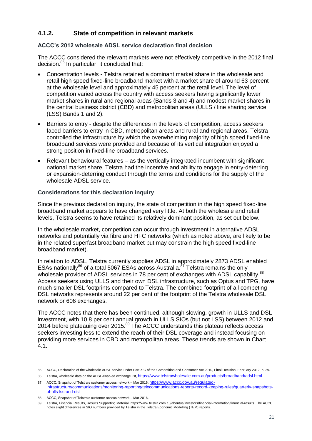#### <span id="page-21-0"></span>**4.1.2. State of competition in relevant markets**

#### **ACCC's 2012 wholesale ADSL service declaration final decision**

The ACCC considered the relevant markets were not effectively competitive in the 2012 final decision.<sup>85</sup> In particular, it concluded that:

- Concentration levels Telstra retained a dominant market share in the wholesale and retail high speed fixed-line broadband market with a market share of around 63 percent at the wholesale level and approximately 45 percent at the retail level. The level of competition varied across the country with access seekers having significantly lower market shares in rural and regional areas (Bands 3 and 4) and modest market shares in the central business district (CBD) and metropolitan areas (ULLS / line sharing service (LSS) Bands 1 and 2).
- Barriers to entry despite the differences in the levels of competition, access seekers faced barriers to entry in CBD, metropolitan areas and rural and regional areas. Telstra controlled the infrastructure by which the overwhelming majority of high speed fixed-line broadband services were provided and because of its vertical integration enjoyed a strong position in fixed-line broadband services.
- Relevant behavioural features as the vertically integrated incumbent with significant national market share, Telstra had the incentive and ability to engage in entry-deterring or expansion-deterring conduct through the terms and conditions for the supply of the wholesale ADSL service.

#### **Considerations for this declaration inquiry**

Since the previous declaration inquiry, the state of competition in the high speed fixed-line broadband market appears to have changed very little. At both the wholesale and retail levels, Telstra seems to have retained its relatively dominant position, as set out below.

In the wholesale market, competition can occur through investment in alternative ADSL networks and potentially via fibre and HFC networks (which as noted above, are likely to be in the related superfast broadband market but may constrain the high speed fixed-line broadband market).

In relation to ADSL, Telstra currently supplies ADSL in approximately 2873 ADSL enabled ESAs nationally<sup>86</sup> of a total 5067 ESAs across Australia.<sup>87</sup> Telstra remains the only wholesale provider of ADSL services in 78 per cent of exchanges with ADSL capability.<sup>88</sup> Access seekers using ULLS and their own DSL infrastructure, such as Optus and TPG, have much smaller DSL footprints compared to Telstra. The combined footprint of all competing DSL networks represents around 22 per cent of the footprint of the Telstra wholesale DSL network or 606 exchanges.

The ACCC notes that there has been continued, although slowing, growth in ULLS and DSL investment, with 10.8 per cent annual growth in ULLS SIOs (but not LSS) between 2012 and 2014 before plateauing over 2015.<sup>89</sup> The ACCC understands this plateau reflects access seekers investing less to extend the reach of their DSL coverage and instead focusing on providing more services in CBD and metropolitan areas. These trends are shown in Chart 4.1.

<sup>85</sup> ACCC, Declaration of the wholesale ADSL service under Part XIC of the Competition and Consumer Act 2010, Final Decision, February 2012, p. 29.

<sup>86</sup> Telstra, wholesale data on the ADSL-enabled exchange list, <https://www.telstrawholesale.com.au/products/broadband/adsl.html>.

<sup>87</sup> ACCC, Snapshot of Telstra's customer access network – Mar 2016, [https://www.accc.gov.au/regulated-](https://www.accc.gov.au/regulated-infrastructure/communications/monitoring-reporting/telecommunications-reports-record-keeping-rules/quarterly-snapshots-of-ulls-lss-and-dsl)

[infrastructure/communications/monitoring-reporting/telecommunications-reports-record-keeping-rules/quarterly-snapshots](https://www.accc.gov.au/regulated-infrastructure/communications/monitoring-reporting/telecommunications-reports-record-keeping-rules/quarterly-snapshots-of-ulls-lss-and-dsl)[of-ulls-lss-and-dsl](https://www.accc.gov.au/regulated-infrastructure/communications/monitoring-reporting/telecommunications-reports-record-keeping-rules/quarterly-snapshots-of-ulls-lss-and-dsl).

<sup>88</sup> ACCC, Snapshot of Telstra's customer access network – Mar 2016.

<sup>89</sup> Telstra, Financial Results, Results Supporting Material [https://www.telstra.com.au/aboutus/investors/financial-information/financial-results.](https://www.telstra.com.au/aboutus/investors/financial-information/financial-results) The ACCC notes slight differences in SIO numbers provided by Telstra in the Telstra Economic Modelling (TEM) reports.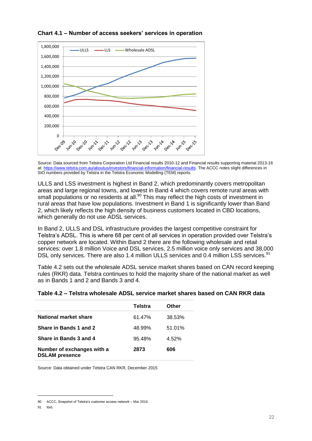

**Chart 4.1 – Number of access seekers' services in operation**

Source: Data sourced from Telstra Corporation Ltd Financial results 2010-12 and Financial results supporting material 2013-16 at: [https://www.telstra.com.au/aboutus/investors/financial-information/financial-results.](https://www.telstra.com.au/aboutus/investors/financial-information/financial-results) The ACCC notes slight differences in SIO numbers provided by Telstra in the Telstra Economic Modelling (TEM) reports.

ULLS and LSS investment is highest in Band 2, which predominantly covers metropolitan areas and large regional towns, and lowest in Band 4 which covers remote rural areas with small populations or no residents at all.<sup>90</sup> This may reflect the high costs of investment in rural areas that have low populations. Investment in Band 1 is significantly lower than Band 2, which likely reflects the high density of business customers located in CBD locations, which generally do not use ADSL services.

In Band 2, ULLS and DSL infrastructure provides the largest competitive constraint for Telstra's ADSL. This is where 68 per cent of all services in operation provided over Telstra's copper network are located. Within Band 2 there are the following wholesale and retail services: over 1.8 million Voice and DSL services, 2.5 million voice only services and 38,000 DSL only services. There are also 1.4 million ULLS services and 0.4 million LSS services.<sup>91</sup>

Table 4.2 sets out the wholesale ADSL service market shares based on CAN record keeping rules (RKR) data. Telstra continues to hold the majority share of the national market as well as in Bands 1 and 2 and Bands 3 and 4.

| Table 4.2 – Telstra wholesale ADSL service market shares based on CAN RKR data |  |  |  |  |  |  |
|--------------------------------------------------------------------------------|--|--|--|--|--|--|
|--------------------------------------------------------------------------------|--|--|--|--|--|--|

|                                                     | Telstra | Other  |
|-----------------------------------------------------|---------|--------|
| National market share                               | 61.47%  | 38.53% |
| Share in Bands 1 and 2                              | 48.99%  | 51.01% |
| Share in Bands 3 and 4                              | 95.48%  | 4.52%  |
| Number of exchanges with a<br><b>DSLAM</b> presence | 2873    | 606    |

Source: Data obtained under Telstra CAN RKR, December 2015

91 Ibid.

<sup>90</sup> ACCC, Snapshot of Telstra's customer access network – Mar 2016.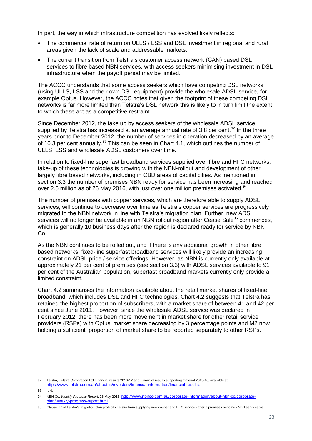In part, the way in which infrastructure competition has evolved likely reflects:

- The commercial rate of return on ULLS / LSS and DSL investment in regional and rural areas given the lack of scale and addressable markets.
- The current transition from Telstra's customer access network (CAN) based DSL services to fibre based NBN services, with access seekers minimising investment in DSL infrastructure when the payoff period may be limited.

The ACCC understands that some access seekers which have competing DSL networks (using ULLS, LSS and their own DSL equipment) provide the wholesale ADSL service, for example Optus. However, the ACCC notes that given the footprint of these competing DSL networks is far more limited than Telstra's DSL network this is likely to in turn limit the extent to which these act as a competitive restraint.

Since December 2012, the take up by access seekers of the wholesale ADSL service supplied by Telstra has increased at an average annual rate of 3.8 per cent.<sup>92</sup> In the three years prior to December 2012, the number of services in operation decreased by an average of 10.3 per cent annually. $93$  This can be seen in Chart 4.1, which outlines the number of ULLS, LSS and wholesale ADSL customers over time.

In relation to fixed-line superfast broadband services supplied over fibre and HFC networks, take-up of these technologies is growing with the NBN-rollout and development of other largely fibre based networks, including in CBD areas of capital cities. As mentioned in section 3.3 the number of premises NBN ready for service has been increasing and reached over 2.5 million as of 26 May 2016, with just over one million premises activated.  $94$ 

The number of premises with copper services, which are therefore able to supply ADSL services, will continue to decrease over time as Telstra's copper services are progressively migrated to the NBN network in line with Telstra's migration plan. Further, new ADSL services will no longer be available in an NBN rollout region after Cease Sale<sup>95</sup> commences, which is generally 10 business days after the region is declared ready for service by NBN Co.

As the NBN continues to be rolled out, and if there is any additional growth in other fibre based networks, fixed-line superfast broadband services will likely provide an increasing constraint on ADSL price / service offerings. However, as NBN is currently only available at approximately 21 per cent of premises (see section 3.3) with ADSL services available to 91 per cent of the Australian population, superfast broadband markets currently only provide a limited constraint.

Chart 4.2 summarises the information available about the retail market shares of fixed-line broadband, which includes DSL and HFC technologies. Chart 4.2 suggests that Telstra has retained the highest proportion of subscribers, with a market share of between 41 and 42 per cent since June 2011. However, since the wholesale ADSL service was declared in February 2012, there has been more movement in market share for other retail service providers (RSPs) with Optus' market share decreasing by 3 percentage points and M2 now holding a sufficient proportion of market share to be reported separately to other RSPs.

<sup>92</sup> Telstra, Telstra Corporation Ltd Financial results 2010-12 and Financial results supporting material 2013-16, available at: <https://www.telstra.com.au/aboutus/investors/financial-information/financial-results>.

<sup>93</sup> Ibid.

<sup>94</sup> NBN Co, *Weekly Progress Report*, 26 May 2016, [http://www.nbnco.com.au/corporate-information/about-nbn-co/corporate](http://www.nbnco.com.au/corporate-information/about-nbn-co/corporate-plan/weekly-progress-report.html)[plan/weekly-progress-report.html](http://www.nbnco.com.au/corporate-information/about-nbn-co/corporate-plan/weekly-progress-report.html).

<sup>95</sup> Clause 17 of Telstra's migration plan prohibits Telstra from supplying new copper and HFC services after a premises becomes NBN serviceable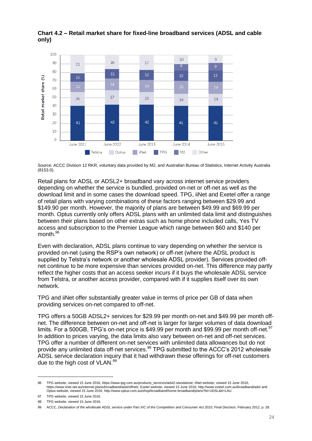

#### **Chart 4.2 – Retail market share for fixed-line broadband services (ADSL and cable only)**

Source: ACCC Division 12 RKR, voluntary data provided by M2, and Australian Bureau of Statistics, Internet Activity Australia (8153.0).

Retail plans for ADSL or ADSL2+ broadband vary across internet service providers depending on whether the service is bundled, provided on-net or off-net as well as the download limit and in some cases the download speed. TPG, iiNet and Exetel offer a range of retail plans with varying combinations of these factors ranging between \$29.99 and \$149.90 per month. However, the majority of plans are between \$49.99 and \$69.99 per month. Optus currently only offers ADSL plans with an unlimited data limit and distinguishes between their plans based on other extras such as home phone included calls, Yes TV access and subscription to the Premier League which range between \$60 and \$140 per month.<sup>96</sup>

Even with declaration, ADSL plans continue to vary depending on whether the service is provided on-net (using the RSP's own network) or off-net (where the ADSL product is supplied by Telstra's network or another wholesale ADSL provider). Services provided offnet continue to be more expensive than services provided on-net. This difference may partly reflect the higher costs that an access seeker incurs if it buys the wholesale ADSL service from Telstra, or another access provider, compared with if it supplies itself over its own network.

TPG and iiNet offer substantially greater value in terms of price per GB of data when providing services on-net compared to off-net.

TPG offers a 50GB ADSL2+ services for \$29.99 per month on-net and \$49.99 per month offnet. The difference between on-net and off-net is larger for larger volumes of data download limits. For a 500GB, TPG's on-net price is \$49.99 per month and \$99.99 per month off-net.<sup>97</sup> In addition to prices varying, the data limits also vary between on-net and off-net services. TPG offer a number of different on-net services with unlimited data allowances but do not provide any unlimited data off-net services.<sup>98</sup> TPG submitted to the ACCC's 2012 wholesale ADSL service declaration inquiry that it had withdrawn these offerings for off-net customers due to the high cost of VLAN.<sup>99</sup>

<sup>96</sup> TPG website, viewed 15 June 2016, [https://www.tpg.com.au/products\\_services/adsl2-standalone;](https://www.tpg.com.au/products_services/adsl2-standalone) iiNet website, viewed 15 June 2016, [https://www.iinet.net.au/internet-plans/broadband/adsl/offnet/;](https://www.iinet.net.au/internet-plans/broadband/adsl/offnet/) Exetel website, viewed 15 June 2016[, http://www.exetel.com.au/broadband/adsl](http://www.exetel.com.au/broadband/adsl) and Optus website, viewed 15 June 2016, [http://www.optus.com.au/shop/broadband/home-broadband/plans?bt=UDSL&tl=LAU.](http://www.optus.com.au/shop/broadband/home-broadband/plans?bt=UDSL&tl=LAU) 

<sup>97</sup> TPG website, viewed 15 June 2016.

<sup>98</sup> TPG website, viewed 15 June 2016.

<sup>99</sup> ACCC, *Declaration of the wholesale ADSL service under Part XIC of the Competition and Consumer Act 2010*, *Final Decision,* February 2012, p. 28.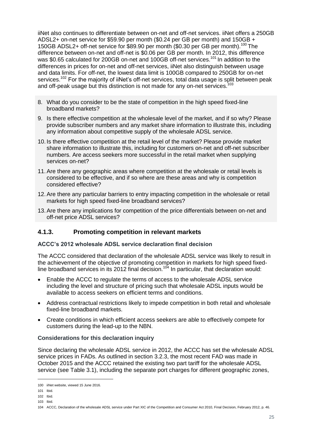iiNet also continues to differentiate between on-net and off-net services. iiNet offers a 250GB ADSL2+ on-net service for \$59.90 per month (\$0.24 per GB per month) and 150GB + 150GB ADSL2+ off-net service for \$89.90 per month (\$0.30 per GB per month).<sup>100</sup> The difference between on-net and off-net is \$0.06 per GB per month. In 2012, this difference was \$0.65 calculated for 200GB on-net and 100GB off-net services.<sup>101</sup> In addition to the differences in prices for on-net and off-net services, iiNet also distinguish between usage and data limits. For off-net, the lowest data limit is 100GB compared to 250GB for on-net services.<sup>102</sup> For the majority of iiNet's off-net services, total data usage is split between peak and off-peak usage but this distinction is not made for any on-net services.<sup>103</sup>

- 8. What do you consider to be the state of competition in the high speed fixed-line broadband markets?
- 9. Is there effective competition at the wholesale level of the market, and if so why? Please provide subscriber numbers and any market share information to illustrate this, including any information about competitive supply of the wholesale ADSL service.
- 10. Is there effective competition at the retail level of the market? Please provide market share information to illustrate this, including for customers on-net and off-net subscriber numbers. Are access seekers more successful in the retail market when supplying services on-net?
- 11.Are there any geographic areas where competition at the wholesale or retail levels is considered to be effective, and if so where are these areas and why is competition considered effective?
- 12.Are there any particular barriers to entry impacting competition in the wholesale or retail markets for high speed fixed-line broadband services?
- 13.Are there any implications for competition of the price differentials between on-net and off-net price ADSL services?

#### <span id="page-25-0"></span>**4.1.3. Promoting competition in relevant markets**

#### **ACCC's 2012 wholesale ADSL service declaration final decision**

The ACCC considered that declaration of the wholesale ADSL service was likely to result in the achievement of the objective of promoting competition in markets for high speed fixedline broadband services in its 2012 final decision.<sup>104</sup> In particular, that declaration would:

- Enable the ACCC to regulate the terms of access to the wholesale ADSL service including the level and structure of pricing such that wholesale ADSL inputs would be available to access seekers on efficient terms and conditions.
- Address contractual restrictions likely to impede competition in both retail and wholesale fixed-line broadband markets.
- Create conditions in which efficient access seekers are able to effectively compete for customers during the lead-up to the NBN.

#### **Considerations for this declaration inquiry**

Since declaring the wholesale ADSL service in 2012, the ACCC has set the wholesale ADSL service prices in FADs. As outlined in section [3.2.3,](#page-12-0) the most recent FAD was made in October 2015 and the ACCC retained the existing two part tariff for the wholesale ADSL service (see Table 3.1), including the separate port charges for different geographic zones,

<sup>100</sup> iiNet website, viewed 15 June 2016.

<sup>101</sup> Ibid.

<sup>102</sup> Ibid.

<sup>103</sup> Ibid.

<sup>104</sup> ACCC, Declaration of the wholesale ADSL service under Part XIC of the Competition and Consumer Act 2010, Final Decision, February 2012, p. 46.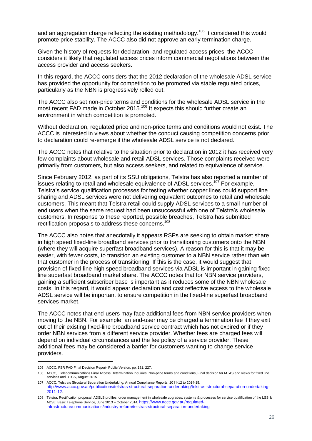and an aggregation charge reflecting the existing methodology.<sup>105</sup> It considered this would promote price stability. The ACCC also did not approve an early termination charge.

Given the history of requests for declaration, and regulated access prices, the ACCC considers it likely that regulated access prices inform commercial negotiations between the access provider and access seekers.

In this regard, the ACCC considers that the 2012 declaration of the wholesale ADSL service has provided the opportunity for competition to be promoted via stable regulated prices, particularly as the NBN is progressively rolled out.

The ACCC also set non-price terms and conditions for the wholesale ADSL service in the most recent FAD made in October 2015.<sup>106</sup> It expects this should further create an environment in which competition is promoted.

Without declaration, regulated price and non-price terms and conditions would not exist. The ACCC is interested in views about whether the conduct causing competition concerns prior to declaration could re-emerge if the wholesale ADSL service is not declared.

The ACCC notes that relative to the situation prior to declaration in 2012 it has received very few complaints about wholesale and retail ADSL services. Those complaints received were primarily from customers, but also access seekers, and related to equivalence of service.

Since February 2012, as part of its SSU obligations, Telstra has also reported a number of issues relating to retail and wholesale equivalence of ADSL services.<sup>107</sup> For example. Telstra's service qualification processes for testing whether copper lines could support line sharing and ADSL services were not delivering equivalent outcomes to retail and wholesale customers. This meant that Telstra retail could supply ADSL services to a small number of end users when the same request had been unsuccessful with one of Telstra's wholesale customers. In response to these reported, possible breaches, Telstra has submitted rectification proposals to address these concerns.<sup>108</sup>

The ACCC also notes that anecdotally it appears RSPs are seeking to obtain market share in high speed fixed-line broadband services prior to transitioning customers onto the NBN (where they will acquire superfast broadband services). A reason for this is that it may be easier, with fewer costs, to transition an existing customer to a NBN service rather than win that customer in the process of transitioning. If this is the case, it would suggest that provision of fixed-line high speed broadband services via ADSL is important in gaining fixedline superfast broadband market share. The ACCC notes that for NBN service providers, gaining a sufficient subscriber base is important as it reduces some of the NBN wholesale costs. In this regard, it would appear declaration and cost reflective access to the wholesale ADSL service will be important to ensure competition in the fixed-line superfast broadband services market.

The ACCC notes that end-users may face additional fees from NBN service providers when moving to the NBN. For example, an end-user may be charged a termination fee if they exit out of their existing fixed-line broadband service contract which has not expired or if they order NBN services from a different service provider. Whether fees are charged fees will depend on individual circumstances and the fee policy of a service provider. These additional fees may be considered a barrier for customers wanting to change service providers.

<sup>105</sup> ACCC, FSR FAD Final Decision Report- Public Version, pp. 181, 227.

<sup>106</sup> ACCC, Telecommunications Final Access Determination Inquiries, Non-price terms and conditions, Final decision for MTAS and views for fixed line services and DTCS, August 2015

<sup>107</sup> ACCC, Telstra's Structural Separation Undertaking: Annual Compliance Reports, 2011-12 to 2014-15, [http://www.accc.gov.au/publications/telstras-structural-separation-undertaking/telstras-structural-separation-undertaking-](http://www.accc.gov.au/publications/telstras-structural-separation-undertaking/telstras-structural-separation-undertaking-2011-12)[2011-12](http://www.accc.gov.au/publications/telstras-structural-separation-undertaking/telstras-structural-separation-undertaking-2011-12).

<sup>108</sup> Telstra, Rectification proposal: ADSLS profiles; order management in wholesale upgrades; systems & processes for service qualification of the LSS & ADSL; Basic Telephone Service, June 2013 – October 2014, [https://www.accc.gov.au/regulated](https://www.accc.gov.au/regulated-infrastructure/communications/industry-reform/telstras-structural-separation-undertaking)[infrastructure/communications/industry-reform/telstras-structural-separation-undertaking](https://www.accc.gov.au/regulated-infrastructure/communications/industry-reform/telstras-structural-separation-undertaking).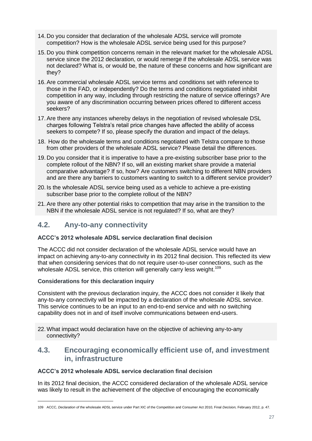- 14. Do you consider that declaration of the wholesale ADSL service will promote competition? How is the wholesale ADSL service being used for this purpose?
- 15. Do you think competition concerns remain in the relevant market for the wholesale ADSL service since the 2012 declaration, or would remerge if the wholesale ADSL service was not declared? What is, or would be, the nature of these concerns and how significant are they?
- 16.Are commercial wholesale ADSL service terms and conditions set with reference to those in the FAD, or independently? Do the terms and conditions negotiated inhibit competition in any way, including through restricting the nature of service offerings? Are you aware of any discrimination occurring between prices offered to different access seekers?
- 17.Are there any instances whereby delays in the negotiation of revised wholesale DSL charges following Telstra's retail price changes have affected the ability of access seekers to compete? If so, please specify the duration and impact of the delays.
- 18. How do the wholesale terms and conditions negotiated with Telstra compare to those from other providers of the wholesale ADSL service? Please detail the differences.
- 19. Do you consider that it is imperative to have a pre-existing subscriber base prior to the complete rollout of the NBN? If so, will an existing market share provide a material comparative advantage? If so, how? Are customers switching to different NBN providers and are there any barriers to customers wanting to switch to a different service provider?
- 20. Is the wholesale ADSL service being used as a vehicle to achieve a pre-existing subscriber base prior to the complete rollout of the NBN?
- 21.Are there any other potential risks to competition that may arise in the transition to the NBN if the wholesale ADSL service is not regulated? If so, what are they?

#### <span id="page-27-0"></span>**4.2. Any-to-any connectivity**

#### **ACCC's 2012 wholesale ADSL service declaration final decision**

The ACCC did not consider declaration of the wholesale ADSL service would have an impact on achieving any-to-any connectivity in its 2012 final decision. This reflected its view that when considering services that do not require user-to-user connections, such as the wholesale ADSL service, this criterion will generally carry less weight.<sup>109</sup>

#### **Considerations for this declaration inquiry**

-

Consistent with the previous declaration inquiry, the ACCC does not consider it likely that any-to-any connectivity will be impacted by a declaration of the wholesale ADSL service. This service continues to be an input to an end-to-end service and with no switching capability does not in and of itself involve communications between end-users.

22.What impact would declaration have on the objective of achieving any-to-any connectivity?

#### <span id="page-27-1"></span>**4.3. Encouraging economically efficient use of, and investment in, infrastructure**

#### **ACCC's 2012 wholesale ADSL service declaration final decision**

In its 2012 final decision, the ACCC considered declaration of the wholesale ADSL service was likely to result in the achievement of the objective of encouraging the economically

<sup>109</sup> ACCC, *Declaration of t*he wholesale ADSL service under Part XIC of the Competition and Consumer Act 2010, Final *Decision,* February 2012, p. 47.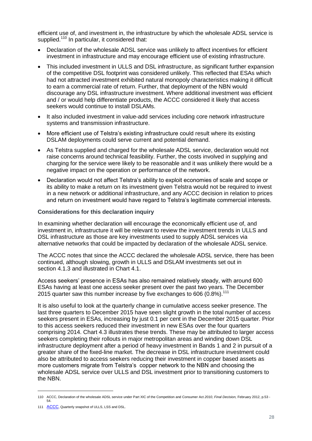efficient use of, and investment in, the infrastructure by which the wholesale ADSL service is supplied.<sup>110</sup> In particular, it considered that:

- Declaration of the wholesale ADSL service was unlikely to affect incentives for efficient investment in infrastructure and may encourage efficient use of existing infrastructure.
- This included investment in ULLS and DSL infrastructure, as significant further expansion of the competitive DSL footprint was considered unlikely. This reflected that ESAs which had not attracted investment exhibited natural monopoly characteristics making it difficult to earn a commercial rate of return. Further, that deployment of the NBN would discourage any DSL infrastructure investment. Where additional investment was efficient and / or would help differentiate products, the ACCC considered it likely that access seekers would continue to install DSLAMs.
- It also included investment in value-add services including core network infrastructure systems and transmission infrastructure.
- More efficient use of Telstra's existing infrastructure could result where its existing DSLAM deployments could serve current and potential demand.
- As Telstra supplied and charged for the wholesale ADSL service, declaration would not raise concerns around technical feasibility. Further, the costs involved in supplying and charging for the service were likely to be reasonable and it was unlikely there would be a negative impact on the operation or performance of the network.
- Declaration would not affect Telstra's ability to exploit economies of scale and scope or its ability to make a return on its investment given Telstra would not be required to invest in a new network or additional infrastructure, and any ACCC decision in relation to prices and return on investment would have regard to Telstra's legitimate commercial interests.

#### **Considerations for this declaration inquiry**

In examining whether declaration will encourage the economically efficient use of, and investment in, infrastructure it will be relevant to review the investment trends in ULLS and DSL infrastructure as those are key investments used to supply ADSL services via alternative networks that could be impacted by declaration of the wholesale ADSL service.

The ACCC notes that since the ACCC declared the wholesale ADSL service, there has been continued, although slowing, growth in ULLS and DSLAM investments set out in section [4.1.3](#page-25-0) and illustrated in Chart 4.1.

Access seekers' presence in ESAs has also remained relatively steady, with around 600 ESAs having at least one access seeker present over the past two years. The December 2015 quarter saw this number increase by five exchanges to 606 (0.8%).<sup>111</sup>

It is also useful to look at the quarterly change in cumulative access seeker presence. The last three quarters to December 2015 have seen slight growth in the total number of access seekers present in ESAs, increasing by just 0.1 per cent in the December 2015 quarter. Prior to this access seekers reduced their investment in new ESAs over the four quarters comprising 2014. Chart 4.3 illustrates these trends. These may be attributed to larger access seekers completing their rollouts in major metropolitan areas and winding down DSL infrastructure deployment after a period of heavy investment in Bands 1 and 2 in pursuit of a greater share of the fixed-line market. The decrease in DSL infrastructure investment could also be attributed to access seekers reducing their investment in copper based assets as more customers migrate from Telstra's copper network to the NBN and choosing the wholesale ADSL service over ULLS and DSL investment prior to transitioning customers to the NBN.

<sup>110</sup> ACCC, Declaration of the wholesale ADSL service under Part XIC of the Competition and Consumer Act *2010*, *Final Decision,* February 2012, p.53 - 54.

<sup>111</sup> [ACCC](file://///cdchnas-evs02/home$/dsmit/Desktop/ACCC), Quarterly snapshot of ULLS, LSS and DSL.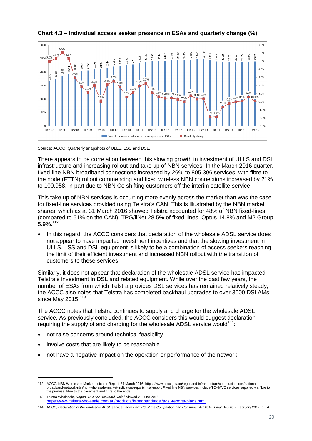

**Chart 4.3 – Individual access seeker presence in ESAs and quarterly change (%)**

Source: ACCC, Quarterly snapshots of ULLS, LSS and DSL.

There appears to be correlation between this slowing growth in investment of ULLS and DSL infrastructure and increasing rollout and take up of NBN services. In the March 2016 quarter, fixed-line NBN broadband connections increased by 26% to 805 396 services, with fibre to the node (FTTN) rollout commencing and fixed wireless NBN connections increased by 21% to 100,958, in part due to NBN Co shifting customers off the interim satellite service.

This take up of NBN services is occurring more evenly across the market than was the case for fixed-line services provided using Telstra's CAN. This is illustrated by the NBN market shares, which as at 31 March 2016 showed Telstra accounted for 48% of NBN fixed-lines (compared to 61% on the CAN), TPG/iiNet 28.5% of fixed-lines, Optus 14.8% and M2 Group 5.9%.<sup>112</sup>

 In this regard, the ACCC considers that declaration of the wholesale ADSL service does not appear to have impacted investment incentives and that the slowing investment in ULLS, LSS and DSL equipment is likely to be a combination of access seekers reaching the limit of their efficient investment and increased NBN rollout with the transition of customers to these services.

Similarly, it does not appear that declaration of the wholesale ADSL service has impacted Telstra's investment in DSL and related equipment. While over the past few years, the number of ESAs from which Telstra provides DSL services has remained relatively steady, the ACCC also notes that Telstra has completed backhaul upgrades to over 3000 DSLAMs since May  $2015.<sup>113</sup>$ 

The ACCC notes that Telstra continues to supply and charge for the wholesale ADSL service. As previously concluded, the ACCC considers this would suggest declaration requiring the supply of and charging for the wholesale ADSL service would<sup>114</sup>:

- not raise concerns around technical feasibility
- involve costs that are likely to be reasonable

-

not have a negative impact on the operation or performance of the network.

<sup>112</sup> ACCC, NBN Wholesale Market Indicator Report, 31 March 2016. https://www.accc.gov.au/regulated-infrastructure/communications/nationalbroadband-network-nbn/nbn-wholesale-market-indicators-report/initial-report Fixed line NBN services include TC-4AVC services supplied via fibre to the premise, fibre to the basement and fibre to the node

<sup>113</sup> Telstra Wholesale, *Report- DSLAM Backhaul Relief*, viewed 21 June 2016, <https://www.telstrawholesale.com.au/products/broadband/adsl/adsl-reports-plans.html>.

<sup>114</sup> ACCC, *Declaration of the wholesale ADSL service under Part XIC of the Competition and Consumer Act 2010*, *Final Decision,* February 2012*,* p. 54.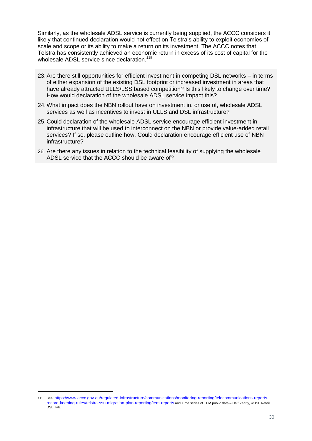Similarly, as the wholesale ADSL service is currently being supplied, the ACCC considers it likely that continued declaration would not effect on Telstra's ability to exploit economies of scale and scope or its ability to make a return on its investment. The ACCC notes that Telstra has consistently achieved an economic return in excess of its cost of capital for the wholesale ADSL service since declaration.<sup>115</sup>

- 23.Are there still opportunities for efficient investment in competing DSL networks in terms of either expansion of the existing DSL footprint or increased investment in areas that have already attracted ULLS/LSS based competition? Is this likely to change over time? How would declaration of the wholesale ADSL service impact this?
- 24.What impact does the NBN rollout have on investment in, or use of, wholesale ADSL services as well as incentives to invest in ULLS and DSL infrastructure?
- 25. Could declaration of the wholesale ADSL service encourage efficient investment in infrastructure that will be used to interconnect on the NBN or provide value-added retail services? If so, please outline how. Could declaration encourage efficient use of NBN infrastructure?
- 26. Are there any issues in relation to the technical feasibility of supplying the wholesale ADSL service that the ACCC should be aware of?

<sup>115</sup> See: [https://www.accc.gov.au/regulated-infrastructure/communications/monitoring-reporting/telecommunications-reports](https://www.accc.gov.au/regulated-infrastructure/communications/monitoring-reporting/telecommunications-reports-record-keeping-rules/telstra-ssu-migration-plan-reporting/tem-reports)[record-keeping-rules/telstra-ssu-migration-plan-reporting/tem-reports](https://www.accc.gov.au/regulated-infrastructure/communications/monitoring-reporting/telecommunications-reports-record-keeping-rules/telstra-ssu-migration-plan-reporting/tem-reports) and Time series of TEM public data – Half Yearly, wDSL Retail DSL Tab.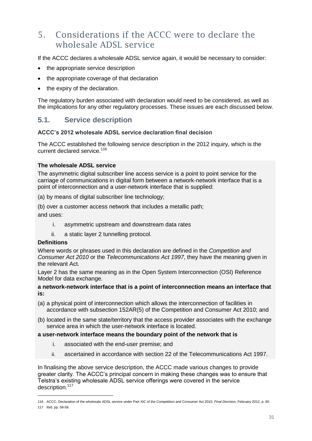## <span id="page-31-0"></span>5. Considerations if the ACCC were to declare the wholesale ADSL service

If the ACCC declares a wholesale ADSL service again, it would be necessary to consider:

- the appropriate service description
- the appropriate coverage of that declaration
- the expiry of the declaration.

The regulatory burden associated with declaration would need to be considered, as well as the implications for any other regulatory processes. These issues are each discussed below.

#### <span id="page-31-1"></span>**5.1. Service description**

#### **ACCC's 2012 wholesale ADSL service declaration final decision**

The ACCC established the following service description in the 2012 inquiry, which is the current declared service.<sup>116</sup>

#### **The wholesale ADSL service**

The asymmetric digital subscriber line access service is a point to point service for the carriage of communications in digital form between a network-network interface that is a point of interconnection and a user-network interface that is supplied:

(a) by means of digital subscriber line technology;

(b) over a customer access network that includes a metallic path; and uses:

- i. asymmetric upstream and downstream data rates
- ii. a static layer 2 tunnelling protocol.

#### **Definitions**

-

Where words or phrases used in this declaration are defined in the *Competition and Consumer Act 2010* or the *Telecommunications Act 1997*, they have the meaning given in the relevant Act.

Layer 2 has the same meaning as in the Open System Interconnection (OSI) Reference Model for data exchange.

#### **a network-network interface that is a point of interconnection means an interface that is:**

- (a) a physical point of interconnection which allows the interconnection of facilities in accordance with subsection 152AR(5) of the Competition and Consumer Act 2010; and
- (b) located in the same state/territory that the access provider associates with the exchange service area in which the user-network interface is located.

#### **a user-network interface means the boundary point of the network that is**

- i. associated with the end-user premise; and
- ii. ascertained in accordance with section 22 of the Telecommunications Act 1997.

In finalising the above service description, the ACCC made various changes to provide greater clarity. The ACCC's principal concern in making these changes was to ensure that Telstra's existing wholesale ADSL service offerings were covered in the service description.<sup>117</sup>

<sup>116</sup> ACCC, Declaration of the wholesale ADSL service under Part XIC of the Competition and Consumer Act 2010, *Final Decision,* February 2012, p. 60. 117 Ibid. pp. 58-59.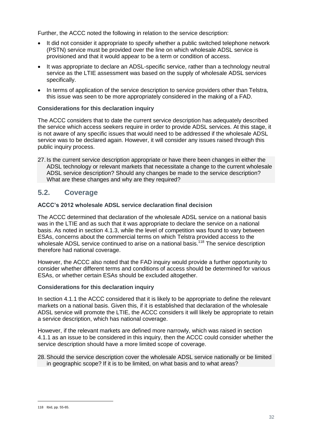Further, the ACCC noted the following in relation to the service description:

- It did not consider it appropriate to specify whether a public switched telephone network (PSTN) service must be provided over the line on which wholesale ADSL service is provisioned and that it would appear to be a term or condition of access.
- It was appropriate to declare an ADSL-specific service, rather than a technology neutral service as the LTIE assessment was based on the supply of wholesale ADSL services specifically.
- In terms of application of the service description to service providers other than Telstra, this issue was seen to be more appropriately considered in the making of a FAD.

#### **Considerations for this declaration inquiry**

The ACCC considers that to date the current service description has adequately described the service which access seekers require in order to provide ADSL services. At this stage, it is not aware of any specific issues that would need to be addressed if the wholesale ADSL service was to be declared again. However, it will consider any issues raised through this public inquiry process.

27. Is the current service description appropriate or have there been changes in either the ADSL technology or relevant markets that necessitate a change to the current wholesale ADSL service description? Should any changes be made to the service description? What are these changes and why are they required?

#### <span id="page-32-0"></span>**5.2. Coverage**

#### **ACCC's 2012 wholesale ADSL service declaration final decision**

The ACCC determined that declaration of the wholesale ADSL service on a national basis was in the LTIE and as such that it was appropriate to declare the service on a national basis. As noted in section [4.1.3,](#page-25-0) while the level of competition was found to vary between ESAs, concerns about the commercial terms on which Telstra provided access to the wholesale ADSL service continued to arise on a national basis.<sup>118</sup> The service description therefore had national coverage.

However, the ACCC also noted that the FAD inquiry would provide a further opportunity to consider whether different terms and conditions of access should be determined for various ESAs, or whether certain ESAs should be excluded altogether.

#### **Considerations for this declaration inquiry**

In section [4.1.1](#page-17-2) the ACCC considered that it is likely to be appropriate to define the relevant markets on a national basis. Given this, if it is established that declaration of the wholesale ADSL service will promote the LTIE, the ACCC considers it will likely be appropriate to retain a service description, which has national coverage.

However, if the relevant markets are defined more narrowly, which was raised in section 4.1.1 as an issue to be considered in this inquiry, then the ACCC could consider whether the service description should have a more limited scope of coverage.

28.Should the service description cover the wholesale ADSL service nationally or be limited in geographic scope? If it is to be limited, on what basis and to what areas?

<sup>118</sup> Ibid, pp. 55-65.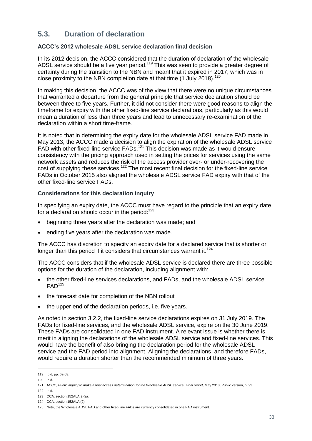## <span id="page-33-0"></span>**5.3. Duration of declaration**

#### **ACCC's 2012 wholesale ADSL service declaration final decision**

In its 2012 decision, the ACCC considered that the duration of declaration of the wholesale ADSL service should be a five year period.<sup>119</sup> This was seen to provide a greater degree of certainty during the transition to the NBN and meant that it expired in 2017, which was in close proximity to the NBN completion date at that time  $(1 \text{ July } 2018)^{120}$ 

In making this decision, the ACCC was of the view that there were no unique circumstances that warranted a departure from the general principle that service declaration should be between three to five years. Further, it did not consider there were good reasons to align the timeframe for expiry with the other fixed-line service declarations, particularly as this would mean a duration of less than three years and lead to unnecessary re-examination of the declaration within a short time-frame.

It is noted that in determining the expiry date for the wholesale ADSL service FAD made in May 2013, the ACCC made a decision to align the expiration of the wholesale ADSL service FAD with other fixed-line service FADs.<sup>121</sup> This decision was made as it would ensure consistency with the pricing approach used in setting the prices for services using the same network assets and reduces the risk of the access provider over- or under-recovering the cost of supplying these services.<sup>122</sup> The most recent final decision for the fixed-line service FADs in October 2015 also aligned the wholesale ADSL service FAD expiry with that of the other fixed-line service FADs.

#### **Considerations for this declaration inquiry**

In specifying an expiry date, the ACCC must have regard to the principle that an expiry date for a declaration should occur in the period: $123$ 

- beginning three years after the declaration was made; and
- ending five years after the declaration was made.

The ACCC has discretion to specify an expiry date for a declared service that is shorter or longer than this period if it considers that circumstances warrant it.<sup>124</sup>

The ACCC considers that if the wholesale ADSL service is declared there are three possible options for the duration of the declaration, including alignment with:

- the other fixed-line services declarations, and FADs, and the wholesale ADSL service  $FAD<sup>125</sup>$
- the forecast date for completion of the NBN rollout
- the upper end of the declaration periods, i.e. five years.

As noted in section [3.2.2,](#page-11-2) the fixed-line service declarations expires on 31 July 2019. The FADs for fixed-line services, and the wholesale ADSL service, expire on the 30 June 2019. These FADs are consolidated in one FAD instrument. A relevant issue is whether there is merit in aligning the declarations of the wholesale ADSL service and fixed-line services. This would have the benefit of also bringing the declaration period for the wholesale ADSL service and the FAD period into alignment. Aligning the declarations, and therefore FADs, would require a duration shorter than the recommended minimum of three years.

<sup>119</sup> Ibid, pp. 62-63.

<sup>120</sup> Ibid.

<sup>121</sup> ACCC, Public inquiry to make a final access determination for the Wholesale ADSL service, Final report, May 2013, Public version, p. 99.

<sup>122</sup> Ibid.

<sup>123</sup> CCA, section 152ALA(2)(a).

<sup>124</sup> CCA, section 152ALA (2).

<sup>125</sup> Note, the Wholesale ADSL FAD and other fixed-line FADs are currently consolidated in one FAD instrument.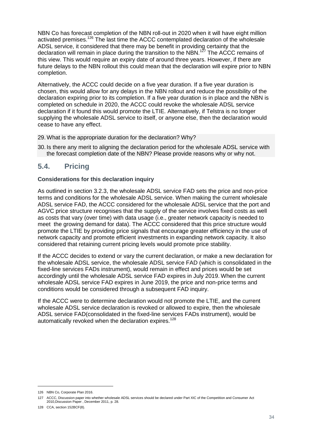NBN Co has forecast completion of the NBN roll-out in 2020 when it will have eight million activated premises.<sup>126</sup> The last time the ACCC contemplated declaration of the wholesale ADSL service, it considered that there may be benefit in providing certainty that the declaration will remain in place during the transition to the NBN.<sup>127</sup> The ACCC remains of this view. This would require an expiry date of around three years. However, if there are future delays to the NBN rollout this could mean that the declaration will expire prior to NBN completion.

Alternatively, the ACCC could decide on a five year duration. If a five year duration is chosen, this would allow for any delays in the NBN rollout and reduce the possibility of the declaration expiring prior to its completion. If a five year duration is in place and the NBN is completed on schedule in 2020, the ACCC could revoke the wholesale ADSL service declaration if it found this would promote the LTIE. Alternatively, if Telstra is no longer supplying the wholesale ADSL service to itself, or anyone else, then the declaration would cease to have any effect.

- 29.What is the appropriate duration for the declaration? Why?
- 30. Is there any merit to aligning the declaration period for the wholesale ADSL service with the forecast completion date of the NBN? Please provide reasons why or why not.

#### <span id="page-34-0"></span>**5.4. Pricing**

#### **Considerations for this declaration inquiry**

As outlined in section [3.2.3,](#page-12-0) the wholesale ADSL service FAD sets the price and non-price terms and conditions for the wholesale ADSL service. When making the current wholesale ADSL service FAD, the ACCC considered for the wholesale ADSL service that the port and AGVC price structure recognises that the supply of the service involves fixed costs as well as costs that vary (over time) with data usage (i.e., greater network capacity is needed to meet the growing demand for data). The ACCC considered that this price structure would promote the LTIE by providing price signals that encourage greater efficiency in the use of network capacity and promote efficient investments in expanding network capacity. It also considered that retaining current pricing levels would promote price stability.

If the ACCC decides to extend or vary the current declaration, or make a new declaration for the wholesale ADSL service, the wholesale ADSL service FAD (which is consolidated in the fixed-line services FADs instrument), would remain in effect and prices would be set accordingly until the wholesale ADSL service FAD expires in July 2019. When the current wholesale ADSL service FAD expires in June 2019, the price and non-price terms and conditions would be considered through a subsequent FAD inquiry.

If the ACCC were to determine declaration would not promote the LTIE, and the current wholesale ADSL service declaration is revoked or allowed to expire, then the wholesale ADSL service FAD(consolidated in the fixed-line services FADs instrument), would be automatically revoked when the declaration expires.<sup>128</sup>

<sup>126</sup> NBN Co, Corporate Plan 2016.

<sup>127</sup> ACCC, Discussion paper into whether wholesale ADSL services should be declared under Part XIC of the Competition and Consumer Act 2010,Discussion Paper , December 2011, p. 28.

<sup>128</sup> CCA, section 152BCF(8).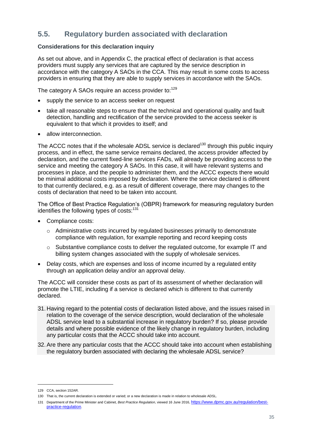## <span id="page-35-0"></span>**5.5. Regulatory burden associated with declaration**

#### **Considerations for this declaration inquiry**

As set out above, and in Appendix C, the practical effect of declaration is that access providers must supply any services that are captured by the service description in accordance with the category A SAOs in the CCA. This may result in some costs to access providers in ensuring that they are able to supply services in accordance with the SAOs.

The category A SAOs require an access provider to:<sup>129</sup>

- supply the service to an access seeker on request
- take all reasonable steps to ensure that the technical and operational quality and fault detection, handling and rectification of the service provided to the access seeker is equivalent to that which it provides to itself; and
- allow interconnection.

The ACCC notes that if the wholesale ADSL service is declared<sup>130</sup> through this public inquiry process, and in effect, the same service remains declared, the access provider affected by declaration, and the current fixed-line services FADs, will already be providing access to the service and meeting the category A SAOs. In this case, it will have relevant systems and processes in place, and the people to administer them, and the ACCC expects there would be minimal additional costs imposed by declaration. Where the service declared is different to that currently declared, e.g. as a result of different coverage, there may changes to the costs of declaration that need to be taken into account.

The Office of Best Practice Regulation's (OBPR) framework for measuring regulatory burden identifies the following types of costs:<sup>131</sup>

- Compliance costs:
	- o Administrative costs incurred by regulated businesses primarily to demonstrate compliance with regulation, for example reporting and record keeping costs
	- $\circ$  Substantive compliance costs to deliver the regulated outcome, for example IT and billing system changes associated with the supply of wholesale services.
- Delay costs, which are expenses and loss of income incurred by a regulated entity through an application delay and/or an approval delay.

The ACCC will consider these costs as part of its assessment of whether declaration will promote the LTIE, including if a service is declared which is different to that currently declared.

- 31. Having regard to the potential costs of declaration listed above, and the issues raised in relation to the coverage of the service description, would declaration of the wholesale ADSL service lead to a substantial increase in regulatory burden? If so, please provide details and where possible evidence of the likely change in regulatory burden, including any particular costs that the ACCC should take into account.
- 32.Are there any particular costs that the ACCC should take into account when establishing the regulatory burden associated with declaring the wholesale ADSL service?

<sup>129</sup> CCA, section 152AR.

<sup>130</sup> That is, the current declaration is extended or varied; or a new declaration is made in relation to wholesale ADSL.

<sup>131</sup> Department of the Prime Minister and Cabinet*, Best Practice Regulation*, viewed 16 June 2016, [https://www.dpmc.gov.au/regulation/best](https://www.dpmc.gov.au/regulation/best-practice-regulation)[practice-regulation](https://www.dpmc.gov.au/regulation/best-practice-regulation).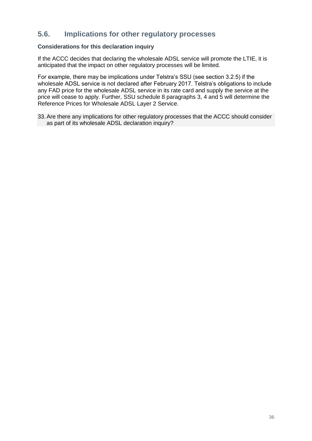#### <span id="page-36-0"></span>**5.6. Implications for other regulatory processes**

#### **Considerations for this declaration inquiry**

If the ACCC decides that declaring the wholesale ADSL service will promote the LTIE, it is anticipated that the impact on other regulatory processes will be limited.

For example, there may be implications under Telstra's SSU (see section 3.2.5) if the wholesale ADSL service is not declared after February 2017. Telstra's obligations to include any FAD price for the wholesale ADSL service in its rate card and supply the service at the price will cease to apply. Further, SSU schedule 8 paragraphs 3, 4 and 5 will determine the Reference Prices for Wholesale ADSL Layer 2 Service.

33.Are there any implications for other regulatory processes that the ACCC should consider as part of its wholesale ADSL declaration inquiry?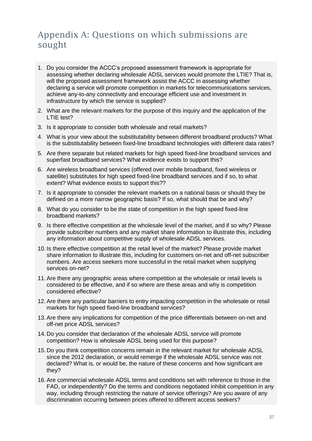## <span id="page-37-0"></span>Appendix A: Questions on which submissions are sought

- 1. Do you consider the ACCC's proposed assessment framework is appropriate for assessing whether declaring wholesale ADSL services would promote the LTIE? That is, will the proposed assessment framework assist the ACCC in assessing whether declaring a service will promote competition in markets for telecommunications services, achieve any-to-any connectivity and encourage efficient use and investment in infrastructure by which the service is supplied?
- 2. What are the relevant markets for the purpose of this inquiry and the application of the LTIE test?
- 3. Is it appropriate to consider both wholesale and retail markets?
- 4. What is your view about the substitutability between different broadband products? What is the substitutability between fixed-line broadband technologies with different data rates?
- 5. Are there separate but related markets for high speed fixed-line broadband services and superfast broadband services? What evidence exists to support this?
- 6. Are wireless broadband services (offered over mobile broadband, fixed wireless or satellite) substitutes for high speed fixed-line broadband services and if so, to what extent? What evidence exists to support this??
- 7. Is it appropriate to consider the relevant markets on a national basis or should they be defined on a more narrow geographic basis? If so, what should that be and why?
- 8. What do you consider to be the state of competition in the high speed fixed-line broadband markets?
- 9. Is there effective competition at the wholesale level of the market, and if so why? Please provide subscriber numbers and any market share information to illustrate this, including any information about competitive supply of wholesale ADSL services.
- 10. Is there effective competition at the retail level of the market? Please provide market share information to illustrate this, including for customers on-net and off-net subscriber numbers. Are access seekers more successful in the retail market when supplying services on-net?
- 11.Are there any geographic areas where competition at the wholesale or retail levels is considered to be effective, and if so where are these areas and why is competition considered effective?
- 12.Are there any particular barriers to entry impacting competition in the wholesale or retail markets for high speed fixed-line broadband services?
- 13.Are there any implications for competition of the price differentials between on-net and off-net price ADSL services?
- 14. Do you consider that declaration of the wholesale ADSL service will promote competition? How is wholesale ADSL being used for this purpose?
- 15. Do you think competition concerns remain in the relevant market for wholesale ADSL since the 2012 declaration, or would remerge if the wholesale ADSL service was not declared? What is, or would be, the nature of these concerns and how significant are they?
- 16.Are commercial wholesale ADSL terms and conditions set with reference to those in the FAD, or independently? Do the terms and conditions negotiated inhibit competition in any way, including through restricting the nature of service offerings? Are you aware of any discrimination occurring between prices offered to different access seekers?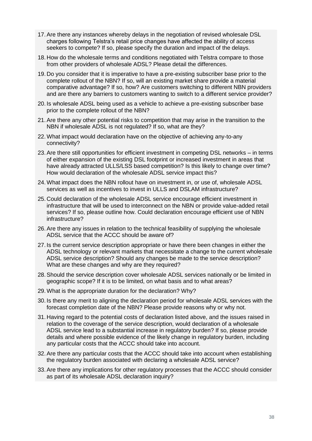- 17.Are there any instances whereby delays in the negotiation of revised wholesale DSL charges following Telstra's retail price changes have affected the ability of access seekers to compete? If so, please specify the duration and impact of the delays.
- 18. How do the wholesale terms and conditions negotiated with Telstra compare to those from other providers of wholesale ADSL? Please detail the differences.
- 19. Do you consider that it is imperative to have a pre-existing subscriber base prior to the complete rollout of the NBN? If so, will an existing market share provide a material comparative advantage? If so, how? Are customers switching to different NBN providers and are there any barriers to customers wanting to switch to a different service provider?
- 20. Is wholesale ADSL being used as a vehicle to achieve a pre-existing subscriber base prior to the complete rollout of the NBN?
- 21.Are there any other potential risks to competition that may arise in the transition to the NBN if wholesale ADSL is not regulated? If so, what are they?
- 22.What impact would declaration have on the objective of achieving any-to-any connectivity?
- 23.Are there still opportunities for efficient investment in competing DSL networks in terms of either expansion of the existing DSL footprint or increased investment in areas that have already attracted ULLS/LSS based competition? Is this likely to change over time? How would declaration of the wholesale ADSL service impact this?
- 24.What impact does the NBN rollout have on investment in, or use of, wholesale ADSL services as well as incentives to invest in ULLS and DSLAM infrastructure?
- 25. Could declaration of the wholesale ADSL service encourage efficient investment in infrastructure that will be used to interconnect on the NBN or provide value-added retail services? If so, please outline how. Could declaration encourage efficient use of NBN infrastructure?
- 26.Are there any issues in relation to the technical feasibility of supplying the wholesale ADSL service that the ACCC should be aware of?
- 27. Is the current service description appropriate or have there been changes in either the ADSL technology or relevant markets that necessitate a change to the current wholesale ADSL service description? Should any changes be made to the service description? What are these changes and why are they required?
- 28.Should the service description cover wholesale ADSL services nationally or be limited in geographic scope? If it is to be limited, on what basis and to what areas?
- 29.What is the appropriate duration for the declaration? Why?
- 30. Is there any merit to aligning the declaration period for wholesale ADSL services with the forecast completion date of the NBN? Please provide reasons why or why not.
- 31. Having regard to the potential costs of declaration listed above, and the issues raised in relation to the coverage of the service description, would declaration of a wholesale ADSL service lead to a substantial increase in regulatory burden? If so, please provide details and where possible evidence of the likely change in regulatory burden, including any particular costs that the ACCC should take into account.
- 32.Are there any particular costs that the ACCC should take into account when establishing the regulatory burden associated with declaring a wholesale ADSL service?
- 33.Are there any implications for other regulatory processes that the ACCC should consider as part of its wholesale ADSL declaration inquiry?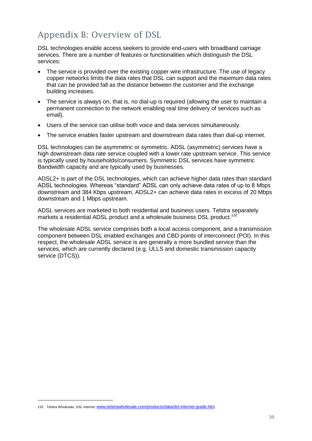## <span id="page-39-0"></span>Appendix B: Overview of DSL

DSL technologies enable access seekers to provide end-users with broadband carriage services. There are a number of features or functionalities which distinguish the DSL services:

- The service is provided over the existing copper wire infrastructure. The use of legacy copper networks limits the data rates that DSL can support and the maximum data rates that can be provided fall as the distance between the customer and the exchange building increases.
- The service is always on, that is, no dial-up is required (allowing the user to maintain a permanent connection to the network enabling real time delivery of services such as email).
- Users of the service can utilise both voice and data services simultaneously.
- The service enables faster upstream and downstream data rates than dial-up internet.

DSL technologies can be asymmetric or symmetric. ADSL (asymmetric) services have a high downstream data rate service coupled with a lower rate upstream service. This service is typically used by households/consumers. Symmetric DSL services have symmetric Bandwidth capacity and are typically used by businesses.

ADSL2+ is part of the DSL technologies, which can achieve higher data rates than standard ADSL technologies. Whereas "standard" ADSL can only achieve data rates of up to 8 Mbps downstream and 384 Kbps upstream, ADSL2+ can achieve data rates in excess of 20 Mbps downstream and 1 Mbps upstream.

ADSL services are marketed to both residential and business users. Telstra separately markets a residential ADSL product and a wholesale business DSL product.<sup>132</sup>

The wholesale ADSL service comprises both a local access component, and a transmission component between DSL enabled exchanges and CBD points of interconnect (POI). In this respect, the wholesale ADSL service is are generally a more bundled service than the services, which are currently declared (e.g. ULLS and domestic transmission capacity service (DTCS)).

<sup>132</sup> Telstra Wholesale, *DSL internet*, [www.telstrawholesale.com/products/data/dsl-internet-grade.htm](http://www.telstrawholesale.com/products/data/dsl-internet-grade.htm).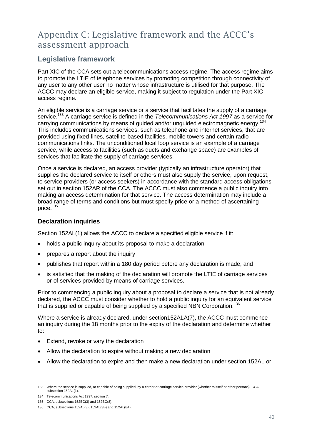## <span id="page-40-0"></span>Appendix C: Legislative framework and the ACCC's assessment approach

#### <span id="page-40-1"></span>**Legislative framework**

Part XIC of the CCA sets out a telecommunications access regime. The access regime aims to promote the LTIE of telephone services by promoting competition through connectivity of any user to any other user no matter whose infrastructure is utilised for that purpose. The ACCC may declare an eligible service, making it subject to regulation under the Part XIC access regime.

An eligible service is a carriage service or a service that facilitates the supply of a carriage service.<sup>133</sup> A carriage service is defined in the *Telecommunications Act 1997* as a service for carrying communications by means of guided and/or unguided electromagnetic energy.<sup>134</sup> This includes communications services, such as telephone and internet services, that are provided using fixed-lines, satellite-based facilities, mobile towers and certain radio communications links. The unconditioned local loop service is an example of a carriage service, while access to facilities (such as ducts and exchange space) are examples of services that facilitate the supply of carriage services.

Once a service is declared, an access provider (typically an infrastructure operator) that supplies the declared service to itself or others must also supply the service, upon request, to service providers (or access seekers) in accordance with the standard access obligations set out in section 152AR of the CCA. The ACCC must also commence a public inquiry into making an access determination for that service. The access determination may include a broad range of terms and conditions but must specify price or a method of ascertaining price.<sup>135</sup>

#### <span id="page-40-2"></span>**Declaration inquiries**

Section 152AL(1) allows the ACCC to declare a specified eligible service if it:

- holds a public inquiry about its proposal to make a declaration
- prepares a report about the inquiry
- publishes that report within a 180 day period before any declaration is made, and
- is satisfied that the making of the declaration will promote the LTIE of carriage services or of services provided by means of carriage services.

Prior to commencing a public inquiry about a proposal to declare a service that is not already declared, the ACCC must consider whether to hold a public inquiry for an equivalent service that is supplied or capable of being supplied by a specified NBN Corporation.<sup>136</sup>

Where a service is already declared, under section152ALA(7), the ACCC must commence an inquiry during the 18 months prior to the expiry of the declaration and determine whether to:

- Extend, revoke or vary the declaration
- Allow the declaration to expire without making a new declaration
- Allow the declaration to expire and then make a new declaration under section 152AL or

<sup>133</sup> Where the service is supplied, or capable of being supplied, by a carrier or carriage service provider (whether to itself or other persons). CCA, subsection 152AL(1).

<sup>134</sup> Telecommunications Act 1997, section 7.

<sup>135</sup> CCA, subsections 152BC(3) and 152BC(8).

<sup>136</sup> CCA, subsections 152AL(3), 152AL(3B) and 152AL(8A).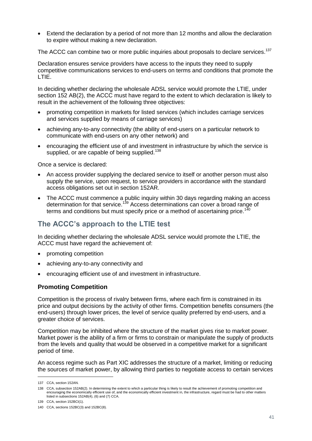Extend the declaration by a period of not more than 12 months and allow the declaration to expire without making a new declaration.

The ACCC can combine two or more public inquiries about proposals to declare services.<sup>137</sup>

Declaration ensures service providers have access to the inputs they need to supply competitive communications services to end-users on terms and conditions that promote the LTIE.

In deciding whether declaring the wholesale ADSL service would promote the LTIE, under section 152 AB(2), the ACCC must have regard to the extent to which declaration is likely to result in the achievement of the following three objectives:

- promoting competition in markets for listed services (which includes carriage services and services supplied by means of carriage services)
- achieving any-to-any connectivity (the ability of end-users on a particular network to communicate with end-users on any other network) and
- encouraging the efficient use of and investment in infrastructure by which the service is supplied, or are capable of being supplied.<sup>138</sup>

Once a service is declared:

- An access provider supplying the declared service to itself or another person must also supply the service, upon request, to service providers in accordance with the standard access obligations set out in section 152AR.
- The ACCC must commence a public inquiry within 30 days regarding making an access determination for that service.<sup>139</sup> Access determinations can cover a broad range of terms and conditions but must specify price or a method of ascertaining price.<sup>140</sup>

## <span id="page-41-0"></span>**The ACCC's approach to the LTIE test**

In deciding whether declaring the wholesale ADSL service would promote the LTIE, the ACCC must have regard the achievement of:

- promoting competition
- achieving any-to-any connectivity and
- encouraging efficient use of and investment in infrastructure.

#### <span id="page-41-1"></span>**Promoting Competition**

Competition is the process of rivalry between firms, where each firm is constrained in its price and output decisions by the activity of other firms. Competition benefits consumers (the end-users) through lower prices, the level of service quality preferred by end-users, and a greater choice of services.

Competition may be inhibited where the structure of the market gives rise to market power. Market power is the ability of a firm or firms to constrain or manipulate the supply of products from the levels and quality that would be observed in a competitive market for a significant period of time.

An access regime such as Part XIC addresses the structure of a market, limiting or reducing the sources of market power, by allowing third parties to negotiate access to certain services

<sup>137</sup> CCA, section 152AN.

<sup>138</sup> CCA, subsection 152AB(2). In determining the extent to which a particular thing is likely to result the achievement of promoting competition and encouraging the economically efficient use of, and the economically efficient investment in, the infrastructure, regard must be had to other matters listed in subsections 152AB(4), (6) and (7) CCA.

<sup>139</sup> CCA, section 152BCI(1).

<sup>140</sup> CCA, sections 152BC(3) and 152BC(8).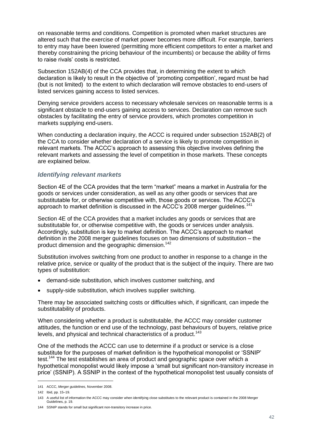on reasonable terms and conditions. Competition is promoted when market structures are altered such that the exercise of market power becomes more difficult. For example, barriers to entry may have been lowered (permitting more efficient competitors to enter a market and thereby constraining the pricing behaviour of the incumbents) or because the ability of firms to raise rivals' costs is restricted.

Subsection 152AB(4) of the CCA provides that, in determining the extent to which declaration is likely to result in the objective of 'promoting competition', regard must be had (but is not limited) to the extent to which declaration will remove obstacles to end-users of listed services gaining access to listed services.

Denying service providers access to necessary wholesale services on reasonable terms is a significant obstacle to end-users gaining access to services. Declaration can remove such obstacles by facilitating the entry of service providers, which promotes competition in markets supplying end-users.

When conducting a declaration inquiry, the ACCC is required under subsection 152AB(2) of the CCA to consider whether declaration of a service is likely to promote competition in relevant markets. The ACCC's approach to assessing this objective involves defining the relevant markets and assessing the level of competition in those markets. These concepts are explained below.

#### *Identifying relevant markets*

Section 4E of the CCA provides that the term "market" means a market in Australia for the goods or services under consideration, as well as any other goods or services that are substitutable for, or otherwise competitive with, those goods or services. The ACCC's approach to market definition is discussed in the ACCC's 2008 merger guidelines.<sup>141</sup>

Section 4E of the CCA provides that a market includes any goods or services that are substitutable for, or otherwise competitive with, the goods or services under analysis. Accordingly, substitution is key to market definition. The ACCC's approach to market definition in the 2008 merger guidelines focuses on two dimensions of substitution – the product dimension and the geographic dimension.<sup>142</sup>

Substitution involves switching from one product to another in response to a change in the relative price, service or quality of the product that is the subject of the inquiry. There are two types of substitution:

- demand-side substitution, which involves customer switching, and
- supply-side substitution, which involves supplier switching.

There may be associated switching costs or difficulties which, if significant, can impede the substitutability of products.

When considering whether a product is substitutable, the ACCC may consider customer attitudes, the function or end use of the technology, past behaviours of buyers, relative price levels, and physical and technical characteristics of a product.<sup>143</sup>

One of the methods the ACCC can use to determine if a product or service is a close substitute for the purposes of market definition is the hypothetical monopolist or 'SSNIP' test.<sup>144</sup> The test establishes an area of product and geographic space over which a hypothetical monopolist would likely impose a 'small but significant non-transitory increase in price' (SSNIP). A SSNIP in the context of the hypothetical monopolist test usually consists of

<sup>141</sup> ACCC, *Merger guidelines*, November 2008.

<sup>142</sup> Ibid, pp. 15–19.

<sup>143</sup> A useful list of information the ACCC may consider when identifying close substitutes to the relevant product is contained in the 2008 Merger Guidelines, p. 19.

<sup>144</sup> SSNIP stands for small but significant non-transitory increase in price.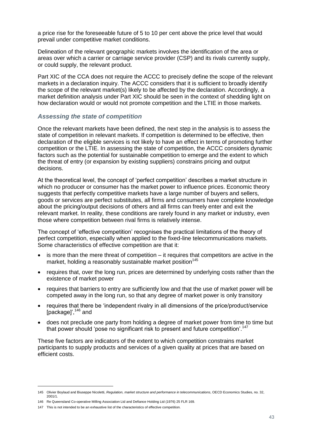a price rise for the foreseeable future of 5 to 10 per cent above the price level that would prevail under competitive market conditions.

Delineation of the relevant geographic markets involves the identification of the area or areas over which a carrier or carriage service provider (CSP) and its rivals currently supply, or could supply, the relevant product.

Part XIC of the CCA does not require the ACCC to precisely define the scope of the relevant markets in a declaration inquiry. The ACCC considers that it is sufficient to broadly identify the scope of the relevant market(s) likely to be affected by the declaration. Accordingly, a market definition analysis under Part XIC should be seen in the context of shedding light on how declaration would or would not promote competition and the LTIE in those markets.

#### *Assessing the state of competition*

Once the relevant markets have been defined, the next step in the analysis is to assess the state of competition in relevant markets. If competition is determined to be effective, then declaration of the eligible services is not likely to have an effect in terms of promoting further competition or the LTIE. In assessing the state of competition, the ACCC considers dynamic factors such as the potential for sustainable competition to emerge and the extent to which the threat of entry (or expansion by existing suppliers) constrains pricing and output decisions.

At the theoretical level, the concept of 'perfect competition' describes a market structure in which no producer or consumer has the market power to influence prices. Economic theory suggests that perfectly competitive markets have a large number of buyers and sellers, goods or services are perfect substitutes, all firms and consumers have complete knowledge about the pricing/output decisions of others and all firms can freely enter and exit the relevant market. In reality, these conditions are rarely found in any market or industry, even those where competition between rival firms is relatively intense.

The concept of 'effective competition' recognises the practical limitations of the theory of perfect competition, especially when applied to the fixed-line telecommunications markets. Some characteristics of effective competition are that it:

- is more than the mere threat of competition it requires that competitors are active in the market, holding a reasonably sustainable market position<sup>145</sup>
- requires that, over the long run, prices are determined by underlying costs rather than the existence of market power
- requires that barriers to entry are sufficiently low and that the use of market power will be competed away in the long run, so that any degree of market power is only transitory
- requires that there be 'independent rivalry in all dimensions of the price/product/service [package]',<sup>146</sup> and
- does not preclude one party from holding a degree of market power from time to time but that power should 'pose no significant risk to present and future competition'.<sup>147</sup>

These five factors are indicators of the extent to which competition constrains market participants to supply products and services of a given quality at prices that are based on efficient costs.

<sup>145</sup> Olivier Boylaud and Biuseppe Nicoletti, *Regulation, market structure and performance in telecommunications*, OECD Economics Studies, no. 32, 2001/1.

<sup>146</sup> Re Queensland Co-operative Milling Association Ltd and Defiance Holding Ltd (1976) 25 FLR 169.

<sup>147</sup> This is not intended to be an exhaustive list of the characteristics of effective competition.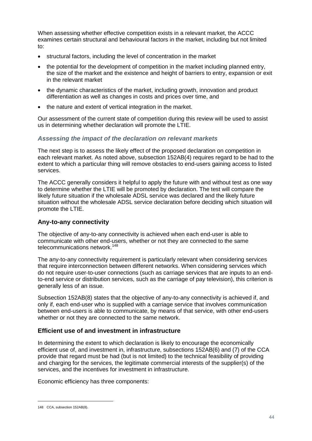When assessing whether effective competition exists in a relevant market, the ACCC examines certain structural and behavioural factors in the market, including but not limited to:

- structural factors, including the level of concentration in the market
- the potential for the development of competition in the market including planned entry, the size of the market and the existence and height of barriers to entry, expansion or exit in the relevant market
- the dynamic characteristics of the market, including growth, innovation and product differentiation as well as changes in costs and prices over time, and
- the nature and extent of vertical integration in the market.

Our assessment of the current state of competition during this review will be used to assist us in determining whether declaration will promote the LTIE.

#### *Assessing the impact of the declaration on relevant markets*

The next step is to assess the likely effect of the proposed declaration on competition in each relevant market. As noted above, subsection 152AB(4) requires regard to be had to the extent to which a particular thing will remove obstacles to end-users gaining access to listed services.

The ACCC generally considers it helpful to apply the future with and without test as one way to determine whether the LTIE will be promoted by declaration. The test will compare the likely future situation if the wholesale ADSL service was declared and the likely future situation without the wholesale ADSL service declaration before deciding which situation will promote the LTIE.

#### <span id="page-44-0"></span>**Any-to-any connectivity**

The objective of any-to-any connectivity is achieved when each end-user is able to communicate with other end-users, whether or not they are connected to the same telecommunications network.<sup>148</sup>

The any-to-any connectivity requirement is particularly relevant when considering services that require interconnection between different networks. When considering services which do not require user-to-user connections (such as carriage services that are inputs to an endto-end service or distribution services, such as the carriage of pay television), this criterion is generally less of an issue.

Subsection 152AB(8) states that the objective of any-to-any connectivity is achieved if, and only if, each end-user who is supplied with a carriage service that involves communication between end-users is able to communicate, by means of that service, with other end-users whether or not they are connected to the same network.

#### <span id="page-44-1"></span>**Efficient use of and investment in infrastructure**

In determining the extent to which declaration is likely to encourage the economically efficient use of, and investment in, infrastructure, subsections 152AB(6) and (7) of the CCA provide that regard must be had (but is not limited) to the technical feasibility of providing and charging for the services, the legitimate commercial interests of the supplier(s) of the services, and the incentives for investment in infrastructure.

Economic efficiency has three components:

<sup>148</sup> CCA, subsection 152AB(8).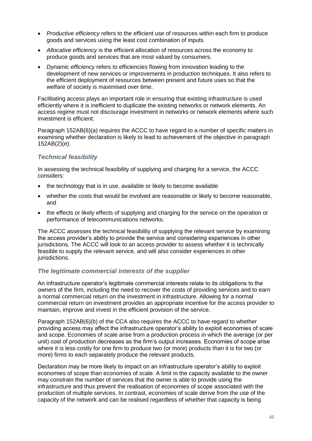- *Productive efficiency* refers to the efficient use of resources within each firm to produce goods and services using the least cost combination of inputs.
- *Allocative efficiency* is the efficient allocation of resources across the economy to produce goods and services that are most valued by consumers.
- *Dynamic efficiency* refers to efficiencies flowing from innovation leading to the development of new services or improvements in production techniques. It also refers to the efficient deployment of resources between present and future uses so that the welfare of society is maximised over time.

Facilitating access plays an important role in ensuring that existing infrastructure is used efficiently where it is inefficient to duplicate the existing networks or network elements. An access regime must not discourage investment in networks or network elements where such investment is efficient.

Paragraph 152AB(6)(a) requires the ACCC to have regard to a number of specific matters in examining whether declaration is likely to lead to achievement of the objective in paragraph 152AB(2)(e).

#### *Technical feasibility*

In assessing the technical feasibility of supplying and charging for a service, the ACCC considers:

- the technology that is in use, available or likely to become available
- whether the costs that would be involved are reasonable or likely to become reasonable, and
- the effects or likely effects of supplying and charging for the service on the operation or performance of telecommunications networks.

The ACCC assesses the technical feasibility of supplying the relevant service by examining the access provider's ability to provide the service and considering experiences in other jurisdictions. The ACCC will look to an access provider to assess whether it is technically feasible to supply the relevant service, and will also consider experiences in other jurisdictions.

#### *The legitimate commercial interests of the supplier*

An infrastructure operator's legitimate commercial interests relate to its obligations to the owners of the firm, including the need to recover the costs of providing services and to earn a normal commercial return on the investment in infrastructure. Allowing for a normal commercial return on investment provides an appropriate incentive for the access provider to maintain, improve and invest in the efficient provision of the service.

Paragraph 152AB(6)(b) of the CCA also requires the ACCC to have regard to whether providing access may affect the infrastructure operator's ability to exploit economies of scale and scope. Economies of scale arise from a production process in which the average (or per unit) cost of production decreases as the firm's output increases. Economies of scope arise where it is less costly for one firm to produce two (or more) products than it is for two (or more) firms to each separately produce the relevant products.

Declaration may be more likely to impact on an infrastructure operator's ability to exploit economies of scope than economies of scale. A limit in the capacity available to the owner may constrain the number of services that the owner is able to provide using the infrastructure and thus prevent the realisation of economies of scope associated with the production of multiple services. In contrast, economies of scale derive from the use of the capacity of the network and can be realised regardless of whether that capacity is being